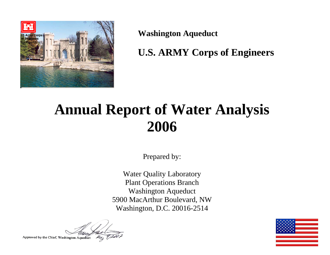

**Washington Aqueduct** 

**U.S. ARMY Corps of Engineers** 

# **Annual Report of Water Analysis 2006**

Prepared by:

Water Quality Laboratory Plant Operations Branch Washington Aqueduct 5900 MacArthur Boulevard, NW Washington, D.C. 20016-2514

Approved by the Chief, Washington Aqueduct

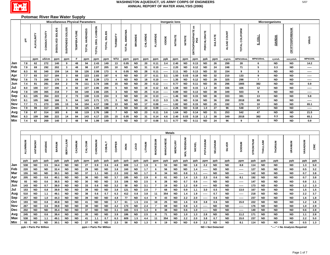

## **Potomac River Raw Water Supply**

|     |          |                         |              | <b>Miscellaneous Physical Parameters</b><br>Microorganisms<br>Inorganic lons |                  |                    |                         |                   |               |                         |               |                |          |                 |                            |                |                   |                                  |             |                   |               |                 |                  |           |                 |                               |                 |           |
|-----|----------|-------------------------|--------------|------------------------------------------------------------------------------|------------------|--------------------|-------------------------|-------------------|---------------|-------------------------|---------------|----------------|----------|-----------------|----------------------------|----------------|-------------------|----------------------------------|-------------|-------------------|---------------|-----------------|------------------|-----------|-----------------|-------------------------------|-----------------|-----------|
|     | 玉        | <b>ALKALINITY</b>       | CONDUCTIVITY | DISSOLVED SOLIDS                                                             | SUSPENDED SOLIDS | <b>TEMPERATURE</b> | TOTAL HARDNESS          | TOTAL ORG. CARBON | TOTAL SOLIDS  | TURBIDITY               | TOTAL AMMONIA | <b>BROMIDE</b> | CHLORIDE | <b>FLUORIDE</b> | <b>IODIDE</b>              | <b>NITRATE</b> | <b>NITRITE</b>    | <b>ORTHOPHOSPHATE as<br/>PO4</b> | PERCHLORATE | <b>SULFATE</b>    | ALGAE COUNT   | TOTAL COLIFORM  | <b>E.COLL</b>    |           | GIARDIA         | <b>CRYPTOSPORIDIUM</b>        | VIRUS           |           |
|     |          | ppm                     | uS/cm        | ppm                                                                          | ppm              | F                  | ppm                     | ppm               | ppm           | <b>NTU</b>              | ppm           | ppm            | ppm      | ppm             | ppb                        | ppm            | ppm               | ppm                              | ppb         | ppm               | org/mL        | <b>MPN/100m</b> | MPN/100mL        |           | cysts/L         | oocysts/L                     | <b>MPN/100L</b> |           |
| Jan | 7.8      | 62                      | 272          | 140                                                                          | 9                | 48                 | 94                      | 2.43              | 149           | 13                      | 0.05          | <b>ND</b>      | 20       | 0.11            | 3.4                        | 2.40           | <b>ND</b>         | 0.13                             | <b>ND</b>   | 26                | 299           | 28              | 6                |           | <b>ND</b>       | <b>ND</b>                     | 14.2            |           |
| Feb | 7.9      | 69                      | 292          | 202                                                                          | 3                | 48                 | 98                      | 2.07              | 205           | 10                      | <b>ND</b>     | <b>ND</b>      | 31       | 0.10            | -----                      | 2.20           | <b>ND</b>         | 0.12                             | <b>ND</b>   | 24                | 248           | 71              | ${\bf 5}$        |           | 0.3             | <b>ND</b>                     | -----           |           |
| Mar | 8.3      | 92                      | 340          | 159                                                                          | 14               | 59                 | 126                     | 2.08              | 173           | 6                       | 0.05          | <b>ND</b>      | 28       | 0.11            | -----                      | 2.11           | <b>ND</b>         | 0.13                             | <b>ND</b>   | 32                | 154           | 9               | $\mathbf{3}$     |           | <b>ND</b>       | <b>ND</b>                     | -----           |           |
| Apr | 7.7      | 83                      | 317          | 184                                                                          | $\mathbf{3}$     | 68                 | 123                     | 2.83              | 187           | 6                       | <b>ND</b>     | <b>ND</b>      | 27       | 0.11            | 3.1                        | 1.50           | 0.03              | 0.18                             | <b>ND</b>   | 32                | 210           | 133             | 9                |           | <b>ND</b>       | <b>ND</b>                     | -----           |           |
| May | 7.6      | 73                      | 269          | 170                                                                          | $\mathbf{3}$     | 69                 | 98                      | 2.39              | 173           | 4                       | <b>ND</b>     | <b>ND</b>      | 18       | 0.10            | -----                      | 1.35           | <b>ND</b>         | 0.12                             | <b>ND</b>   | 29                | 325           | 298             | $\overline{7}$   |           | <b>ND</b>       | <b>ND</b>                     | -----           |           |
| Jun | 7.4      | 81                      | 281          | 164                                                                          | $\overline{2}$   | 78                 | 111                     | 3.74              | 166           | 15                      | <b>ND</b>     | <b>ND</b>      | 20       | 0.12            | -----                      | 0.77           | <b>ND</b>         | 0.11                             | <b>ND</b>   | 35                | 296           | 1905            | 382              |           | <b>ND</b>       | <b>ND</b>                     | 0.9             |           |
| Jul | 8.0      | 100                     | 317          | 196                                                                          | 4                | 82                 | 127                     | 2.86              | 200           | $\sqrt{5}$              | <b>ND</b>     | <b>ND</b>      | 18       | 0.12            | 4.6                        | 1.58           | <b>ND</b>         | 0.15                             | $1.2$       | 30                | 336           | 426             | 12               |           | <b>ND</b>       | <b>ND</b>                     | -----           |           |
| Aug | 7.8      | 109                     | 365          | 218                                                                          | $\overline{7}$   | 84                 | 140                     | 2.66              | 225           | $\mathbf{3}$            | <b>ND</b>     | <b>ND</b>      | 25       | 0.14            | -----                      | 0.89           | ND                | 0.13                             | <b>ND</b>   | 38                | 349           | 503             | 9                |           | <b>ND</b>       | <b>ND</b>                     | -----           |           |
| Sep | 8.1      | 105                     | 354          | 222                                                                          | $\overline{2}$   | 73                 | 138                     | 3.15              | 224           | $\mathbf{3}$            | <b>ND</b>     | <b>ND</b>      | 24       | 0.13            | -----                      | 1.46           | <b>ND</b>         | 0.15                             | <b>ND</b>   | 36                | 333           | 381             | 13               |           | <b>ND</b>       | <b>ND</b>                     | 5.8             |           |
| Oct | 8.1      | 105                     | 368          | 166                                                                          | 5                | 64                 | 143                     | 2.71              | 171           | $\mathbf{3}$            | <b>ND</b>     | <b>ND</b>      | 24       | 0.13            | 3.3                        | 1.35           | <b>ND</b>         | 0.16                             | <b>ND</b>   | 36                | 200           | 2018            | 89               |           | <b>ND</b>       | <b>ND</b>                     | -----           |           |
| Nov | 7.7      | 71                      | 273          | 185                                                                          | 13               | 54                 | 104                     | 4.17              | 198           | 13                      | <b>ND</b>     | <b>ND</b>      | 17       | 0.08            | -----                      | 1.82           | <b>ND</b>         | 0.15                             | <b>ND</b>   | 25                | 192           | 179             | 10               |           | <b>ND</b>       | <b>ND</b>                     | 65.1            |           |
| Dec | 7.9      | 99                      | 317          | 185                                                                          | 3                | 59                 | 125                     | 1.99              | 188           | $\overline{\mathbf{4}}$ | <b>ND</b>     | <b>ND</b>      | 22       | 0.09            | -----                      | 2.26           | <b>ND</b>         | 0.18                             | 1.0         | 27                | 96            | 548             | 17               |           | <b>ND</b>       | <b>ND</b>                     | -----           |           |
| Avg | 7.8      | 87                      | 314          | 183                                                                          | 6                | 66                 | 119                     | 2.76              | 188           | $\overline{7}$          | <b>ND</b>     | <b>ND</b>      | 23       | 0.11            | 3.6                        | 1.64           | <b>ND</b>         | 0.14                             | <b>ND</b>   | 31                | 253           | 542             | 47               |           | $\overline{ND}$ | <b>ND</b>                     | 21.5            |           |
| Max | 8.3      | 109                     | 368          | 222                                                                          | 14               | 84                 | 143                     | 4.17              | 225           | 15                      | 0.05          | ND             | 31       | 0.14            | 4.6                        | 2.40           | 0.03              | 0.18                             | $1.2$       | 38                | 349           | 2018            | 382              |           | 0.3             | <b>ND</b>                     | 65.1            |           |
| Min | 7.4      | 62                      | 269          | 140                                                                          | $\overline{2}$   | 48                 | 94                      | 1.99              | 149           | $\mathbf{3}$            | <b>ND</b>     | <b>ND</b>      | 17       | 0.08            | 3.1                        | 0.77           | <b>ND</b>         | 0.11                             | <b>ND</b>   | 24                | 96            | 9               | $\mathbf{3}$     |           | <b>ND</b>       | <b>ND</b>                     | 0.9             |           |
|     | ALUMINUM | ANTIMONY                | ARSENIC      | <b>BARIUM</b>                                                                | <b>BERYLLIUM</b> | CADMIUM            | CALCIUM                 | CHROMIUM          | <b>COBALT</b> | COPPER                  | <b>IRON</b>   | LEAD           | LITHIUM  | MAGNESIUM       | <b>Metals</b><br>MANGANESE | <b>MERCURY</b> | <b>MOLYBDENUM</b> | <b>NICKEL</b>                    | POTASSIUM   | <b>SELENIUM</b>   | <b>SILVER</b> | MUNGOS          | <b>STRONTIUM</b> | THALLIUM  | THORIUM         | URANIUM                       | VANADIUM        | ZINC      |
|     | ppb      | ppb                     | ppb          | ppb                                                                          | ppb              | ppb                | ppm                     | ppb               | ppb           | ppb                     | ppb           | ppb            | ppb      | ppm             | ppb                        | ppb            | ppb               | ppb                              | ppm         | ppb               | ppb           | ppm             | ppb              | ppb       | ppb             | ppb                           | ppb             | ppb       |
| Jan | 538      | <b>ND</b>               | 0.5          | 34.4                                                                         | <b>ND</b>        | <b>ND</b>          | 27                      | 0.9               | 0.6           | 4.8                     | 609           | $1.2$          | 1.9      | 6               | 53                         | <b>ND</b>      | <b>ND</b>         | 1.8                              | 2.2         | <b>ND</b>         | <b>ND</b>     | 8.8             | 114              | <b>ND</b> | <b>ND</b>       | <b>ND</b>                     | $1.3$           | $5.0\,$   |
| Feb | 220      | <b>ND</b>               | ND           | 32.4                                                                         | <b>ND</b>        | <b>ND</b>          | 29                      | <b>ND</b>         | ND            | 3.8                     | 160           | <b>ND</b>      | $1.7$    | 6               | 56                         | <b>ND</b>      | <b>ND</b>         | $1.4$                            | -----       | <b>ND</b>         | <b>ND</b>     | -----           | 127              | <b>ND</b> | <b>ND</b>       | <b>ND</b>                     | $0.5\,$         | 3.2       |
| Mar | 155      | <b>ND</b>               | <b>ND</b>    | 30.1                                                                         | ND               | <b>ND</b>          | 37                      | 1.1               | ND            | 2.3                     | 102           | ND             | 1.7      | 8               | 34                         | <b>ND</b>      | 0.8               | $1.1$                            | -----       | <b>ND</b>         | ND            | -----           | 142              | <b>ND</b> | <b>ND</b>       | <b>ND</b>                     | 0.7             | 3.8       |
| Apr | 205      | <b>ND</b>               | 0.6          | 40.1                                                                         | <b>ND</b>        | <b>ND</b>          | 36                      | <b>ND</b>         | <b>ND</b>     | 3.7                     | 185           | ND             | 2.9      | 8               | 61                         | <b>ND</b>      | $1.4$             | $1.5$                            | 2.3         | 0.6               | <b>ND</b>     | 8.1             | 192              | <b>ND</b> | <b>ND</b>       | <b>ND</b>                     | 0.7             | 3.8       |
| May | 93       | <b>ND</b>               | 0.6          | 36.5                                                                         | <b>ND</b>        | <b>ND</b>          | 30                      | <b>ND</b>         | <b>ND</b>     | 3.5                     | 106           | <b>ND</b>      | 2.5      | 6               | 28                         | <b>ND</b>      | 0.7               | 0.9                              | -----       | <b>ND</b>         | <b>ND</b>     | -----           | 147              | <b>ND</b> | <b>ND</b>       | <b>ND</b>                     | 0.8             | $2.1\,$   |
| Jun | 143      | <b>ND</b>               | 0.7          | 38.0                                                                         | <b>ND</b>        | <b>ND</b>          | 33                      | 0.6               | <b>ND</b>     | 3.2                     | 58            | <b>ND</b>      | 3.1      | $\overline{7}$  | 19                         | <b>ND</b>      | $1.2$             | 0.9                              | -----       | <b>ND</b>         | <b>ND</b>     | -----           | 173              | <b>ND</b> | <b>ND</b>       | <b>ND</b>                     | $1.2$           | $1.3$     |
| Jul | 153      | <b>ND</b>               | 0.8          | 39.9                                                                         | <b>ND</b>        | <b>ND</b>          | 39                      | <b>ND</b>         | <b>ND</b>     | 3.8                     | 121           | <b>ND</b>      | 2.0      | $\overline{7}$  | 68                         | <b>ND</b>      | 0.9               | 1.1                              | 3.0         | 0.5               | <b>ND</b>     | 13.0            | 167              | <b>ND</b> | <b>ND</b>       | <b>ND</b>                     | $1.5$           | 1.5       |
| Aug | 510      | <b>ND</b>               | 1.1          | 49.1                                                                         | <b>ND</b>        | <b>ND</b>          | 38                      | 0.6               | 0.7           | 6.3                     | 412           | 0.8            | 3.8      | 11              | 354                        | <b>ND</b>      | $1.4$             | 1.9                              | -----       | 0.7               | <b>ND</b>     | -----           | 218              | <b>ND</b> | <b>ND</b>       | <b>ND</b>                     | $2.2\,$         | 3.7       |
| Sep | 257      | <b>ND</b>               | $1.0$        | 44.3                                                                         | <b>ND</b>        | <b>ND</b>          | 39                      | <b>ND</b>         | <b>ND</b>     | 4.8                     | 77            | <b>ND</b>      | 4.4      | 9               | 43                         | <b>ND</b>      | $2.2\,$           | 2.0                              | -----       | 0.6               | <b>ND</b>     | -----           | 237              | <b>ND</b> | <b>ND</b>       | <b>ND</b>                     | 1.6             | 1.8       |
| Oct | 193      | <b>ND</b>               | 0.8          | 40.8                                                                         | <b>ND</b>        | <b>ND</b>          | 41                      | <b>ND</b>         | <b>ND</b>     | 3.7                     | 61            | 1.5            | 2.6      | 10              | 25                         | <b>ND</b>      | 1.6               | 0.9                              | 3.8         | 0.6               | <b>ND</b>     | 15.0            | 222              | <b>ND</b> | <b>ND</b>       | <b>ND</b>                     | $1.2$           | 1.8       |
| Nov | 267      | <b>ND</b>               | 0.6          | 39.8                                                                         | <b>ND</b>        | <b>ND</b>          | 30                      | <b>ND</b>         | <b>ND</b>     | 4.2                     | 173           | <b>ND</b>      | 2.4      | $\overline{7}$  | 69                         | <b>ND</b>      | 0.8               | $1.3$                            | -----       | <b>ND</b>         | <b>ND</b>     | -----           | 176              | <b>ND</b> | <b>ND</b>       | <b>ND</b>                     | 1.0             | 2.9       |
| Dec | 202      | <b>ND</b>               | <b>ND</b>    | 35.4                                                                         | <b>ND</b>        | <b>ND</b>          | 37                      | <b>ND</b>         | <b>ND</b>     | 3.1                     | 165           | 0.5            | $1.3$    | 8               | 38                         | <b>ND</b>      | 0.6               | 1.0                              | -----       | <b>ND</b>         | <b>ND</b>     | -----           | 140              | <b>ND</b> | <b>ND</b>       | <b>ND</b>                     | $0.6\,$         | 2.8       |
| Avg | 245      | <b>ND</b>               | 0.6          | 38.4                                                                         | <b>ND</b>        | <b>ND</b>          | 35                      | ND                | <b>ND</b>     | 3.9                     | 186           | <b>ND</b>      | 2.5      | 8               | 71                         | <b>ND</b>      | $1.0$             | 1.3                              | 2.8         | <b>ND</b>         | <b>ND</b>     | 11.2            | 171              | <b>ND</b> | <b>ND</b>       | <b>ND</b>                     | $1.1$           | $2.8$     |
| Max | 538      | <b>ND</b>               | 1.1          | 49.1                                                                         | <b>ND</b>        | <b>ND</b>          | 41                      | 1.1               | 0.7           | 6.3                     | 609           | 1.5            | 4.4      | 11              | 354                        | <b>ND</b>      | $2.2$             | 2.0                              | 3.8         | 0.7               | <b>ND</b>     | 15.0            | 237              | <b>ND</b> | <b>ND</b>       | <b>ND</b>                     | $2.2\,$         | $\bf 5.0$ |
| Min | 93       | <b>ND</b>               | <b>ND</b>    | 30.1                                                                         | <b>ND</b>        | <b>ND</b>          | 27                      | <b>ND</b>         | <b>ND</b>     | 2.3                     | 58            | <b>ND</b>      | 1.3      | 6               | 19                         | <b>ND</b>      | <b>ND</b>         | 0.9                              | 2.2         | <b>ND</b>         | <b>ND</b>     | 8.1             | 114              | <b>ND</b> | <b>ND</b>       | <b>ND</b>                     | $0.5\,$         | 1.3       |
|     |          | ppb = Parts Per Billion |              |                                                                              |                  |                    | ppm = Parts Per Million |                   |               |                         |               |                |          |                 |                            |                |                   |                                  |             | ND = Not Detected |               |                 |                  |           |                 | "----" = No Analysis Required |                 |           |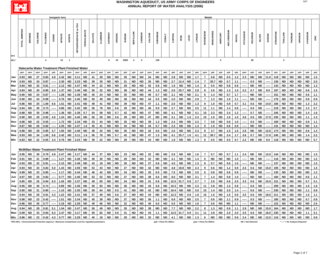

|                  |                         |                        |          |                         | Inorganic lons |                |                        |                                                      |                                                                                                  |                |          |                        |                  |               |                         |                        |          |                  |                         |             |                   |                  |              | <b>Metals</b>           |                  |                        |                   |               |                   |                  |                        |              |                  |                        |                        |                               |                  |            |
|------------------|-------------------------|------------------------|----------|-------------------------|----------------|----------------|------------------------|------------------------------------------------------|--------------------------------------------------------------------------------------------------|----------------|----------|------------------------|------------------|---------------|-------------------------|------------------------|----------|------------------|-------------------------|-------------|-------------------|------------------|--------------|-------------------------|------------------|------------------------|-------------------|---------------|-------------------|------------------|------------------------|--------------|------------------|------------------------|------------------------|-------------------------------|------------------|------------|
|                  |                         |                        |          |                         |                |                |                        |                                                      |                                                                                                  |                |          |                        |                  |               |                         |                        |          |                  |                         |             |                   |                  |              |                         |                  |                        |                   |               |                   |                  |                        |              |                  |                        |                        |                               |                  |            |
|                  | AMMONIA<br><b>TOTAL</b> | <b>BROMIDE</b>         | CHLORIDE | <b>FLUORIDE</b>         | lopipe         | <b>NITRATE</b> | <b>NITRITE</b>         | ORTHOPHOSPHATE as PO4                                | PERCHLORATE                                                                                      | <b>SULFATE</b> | ALUMINUM | ANTIMONY               | ARSENIC          | <b>BARIUM</b> | <b>BERYLLIUM</b>        | CADMIUM                | CALCIUM  | CHROMIUM         | COBALT                  | COPPER      | <b>RON</b>        | LEAD             | LITHIUM      | MAGNESIUM               | <b>MANGANESE</b> | <b>MERCURY</b>         | <b>MOLYBDENUM</b> | <b>NICKEL</b> | POTASSIUM         | SELENIUM         | <b>SILVER</b>          | SODIUM       | <b>STRONTIUM</b> | THALLIUM               | THORIUM                | URANIUM                       | VANADIUM         |            |
| <b>EPA</b>       |                         |                        |          |                         |                |                |                        |                                                      |                                                                                                  |                |          |                        |                  |               |                         |                        |          |                  |                         |             |                   |                  |              |                         |                  |                        |                   |               |                   |                  |                        |              |                  |                        |                        |                               |                  |            |
| MCL <sup>*</sup> |                         |                        |          | $\overline{\mathbf{4}}$ |                | 10             | $\overline{1}$         | Dalecarlia Water Treatment Plant Finished Water      |                                                                                                  |                |          | 6                      | $10$             | 2000          | $\overline{\mathbf{4}}$ | ${\bf 5}$              |          | 100              |                         |             |                   |                  |              |                         |                  | $\overline{2}$         |                   |               |                   | 50               |                        |              |                  | $\mathbf{2}$           |                        |                               |                  |            |
|                  | ppm                     | ppm                    | ppm      | ppm                     | ppb            | ppm            | ppm                    | ppm                                                  | ppb                                                                                              | ppm            | ppb      | ppb                    | ppb              | ppb           | ppb                     | ppb                    | ppm      | ppb              | ppb                     | ppb         | ppb               | ppb              | ppb          | ppm                     | ppb              | ppb                    | ppb               | ppb           | ppm               | ppb              | ppb                    | ppm          | ppb              | ppb                    | ppb                    | ppb                           | ppb              | ppb        |
| Jan              | 0.93                    | <b>ND</b>              | 27       | 0.83                    | 4.9            | 2.42           | <b>ND</b>              | 3.11                                                 | <b>ND</b>                                                                                        | 41             | 29       | ND                     | <b>ND</b>        | 30            | <b>ND</b>               | <b>ND</b>              | 34       | <b>ND</b>        | <b>ND</b>               | 2.8         | <b>ND</b>         | <b>ND</b>        | 1.7          | $\overline{7}$          | 0.8              | <b>ND</b>              | 0.5               | 1.2           | 2.3               | <b>ND</b>        | <b>ND</b>              | 11.0         | 118              | <b>ND</b>              | <b>ND</b>              | <b>ND</b>                     | <b>ND</b>        | 1.5        |
| Feb              | 0.93                    | <b>ND</b>              | 34       | 0.87                    |                | 2.30           | ND.                    | 2.23                                                 | <b>ND</b>                                                                                        | 39             | 35       | ND                     | <b>ND</b>        | 31            | <b>ND</b>               | ND                     | 35       | <b>ND</b>        | ND                      | 2.7         | 12.4              | ND               | 1.4          | $\overline{7}$          | 30.7             | <b>ND</b>              | 0.7               | 1.1           |                   | 0.5              | <b>ND</b>              |              | 130              | <b>ND</b>              | ND                     | <b>ND</b>                     | <b>ND</b>        | 2.0        |
| Mar              | 0.84                    | <b>ND</b>              | 32       | 0.81                    |                | 2.12           | <b>ND</b>              | 2.47                                                 | <b>ND</b>                                                                                        | 44             | 22       | ND                     | <b>ND</b>        | 29            | <b>ND</b>               | ND                     | 42       | 0.8              | ND                      | 1.9         | ND                | ND               | 1.4          | 8                       | 0.5              | <b>ND</b>              | 0.8               | 0.9           |                   | ND               | <b>ND</b>              |              | 143              | <b>ND</b>              | ND                     | ND                            | <b>ND</b>        | 1.3        |
| Apr              | 0.83                    | <b>ND</b>              | 30       | 0.85                    | 3.4            | 1.37           | <b>ND</b>              | 2.46                                                 | <b>ND</b>                                                                                        | 50             | 32       | <b>ND</b>              | <b>ND</b>        | 38            | <b>ND</b>               | <b>ND</b>              | 44       | $1.2$            | ND                      | 2.6         | 25.7              | <b>ND</b>        | 2.8          | 8                       | 2.6              | <b>ND</b>              | 1.3               | 1.0           | 2.2               | 0.7              | <b>ND</b>              | 8.5          | 197              | <b>ND</b>              | <b>ND</b>              | <b>ND</b>                     | 0.6              | 1.5        |
| May              | 0.90                    | <b>ND</b>              | 24       | 0.87                    |                | 1.28           | <b>ND</b>              | 2.39                                                 | ND                                                                                               | 45             | 24       | <b>ND</b>              | <b>ND</b>        | 35            | <b>ND</b>               | <b>ND</b>              | 40       | 0.7              | <b>ND</b>               | 2.1         | <b>ND</b>         | <b>ND</b>        | 2.1          | 6                       | 1.4              | <b>ND</b>              | 0.7               | 1.7           |                   | <b>ND</b>        | <b>ND</b>              |              | 151              | <b>ND</b>              | <b>ND</b>              | <b>ND</b>                     | 0.6              | 1.1        |
| Jun              | 0.90                    | ND                     | 24       | 0.99                    |                | 0.76           | <b>ND</b>              | 2.40                                                 | <b>ND</b>                                                                                        | 50             | 49       | ND                     | <b>ND</b>        | 38            | <b>ND</b>               | ND                     | 44       | 0.5              | <b>ND</b>               | 2.0         | <b>ND</b>         | <b>ND</b>        | 2.9          | $\overline{7}$          | $1.3$            | <b>ND</b>              | 1.0               | 1.1           |                   | <b>ND</b>        | <b>ND</b>              |              | 176              | <b>ND</b>              | <b>ND</b>              | <b>ND</b>                     | 0.8              | 0.9        |
| Jul              | 0.86                    | <b>ND</b>              | 25       | 1.00                    | 6.6            | 1.51           | <b>ND</b>              | 2.41                                                 | <b>ND</b>                                                                                        | 48             | 41       | ND                     | <b>ND</b>        | 39            | <b>ND</b>               | <b>ND</b>              | 47       | 1.1              | <b>ND</b>               | 2.0         | <b>ND</b>         | <b>ND</b>        | 1.3          | 8                       | 1.0              | <b>ND</b>              | 0.9               | 0.7           | 3.1               | 0.6              | <b>ND</b>              | 14.0         | 166              | <b>ND</b>              | <b>ND</b>              | <b>ND</b>                     | 1.3              | 2.2        |
| Aug              | 0.84                    | <b>ND</b>              | 30       | 0.73                    |                | 0.86           | <b>ND</b>              | 2.42                                                 | <b>ND</b>                                                                                        | 56             | 78       | <b>ND</b>              | 0.6              | 39            | <b>ND</b>               | <b>ND</b>              | 46       | 0.9              | <b>ND</b>               | 2.7         | <b>ND</b>         | <b>ND</b>        | 3.5          | 11                      | 1.1              | <b>ND</b>              | 1.4               | 0.8           |                   | 0.6              | <b>ND</b>              |              | 218              | <b>ND</b>              | <b>ND</b>              | <b>ND</b>                     | 1.3              | 0.7        |
| Sep              | 0.88                    | <b>ND</b>              | 30       | 0.98                    |                | 1.36           | <b>ND</b>              | 2.39                                                 | 0.7                                                                                              | 54             | 58       | <b>ND</b>              | 0.7              | 42            | <b>ND</b>               | <b>ND</b>              | 47       | <b>ND</b>        | ND                      | 4.1         | <b>ND</b>         | <b>ND</b>        | 4.1          | 10                      | 2.3              | <b>ND</b>              | 2.4               | $1.2$         |                   | 0.7              | <b>ND</b>              |              | 245              | <b>ND</b>              | <b>ND</b>              | <b>ND</b>                     | 1.4              | 1.6        |
| Oct              | 0.90                    | <b>ND</b>              | 29       | 0.92                    | 4.0            | 1.24           | <b>ND</b>              | 2.40                                                 | <b>ND</b>                                                                                        | 56             | 50       | <b>ND</b>              | 0.6              | -39           | <b>ND</b>               | <b>ND</b>              | 47       | <b>ND</b>        | <b>ND</b>               | 3.1         | <b>ND</b>         | 1.0              | 2.3          | 10                      | 1.0              | <b>ND</b>              | 1.6               | 1.0           | 3.6               | 0.6              | <b>ND</b>              | 17.0         | 230              | <b>ND</b>              | <b>ND</b>              | <b>ND</b>                     | 1.1              | 1.3        |
| Nov              | 0.88                    | <b>ND</b>              | 22       | 0.55                    |                | 1.72           | <b>ND</b>              | 2.34                                                 | <b>ND</b>                                                                                        | 43             | 44       | <b>ND</b>              | <b>ND</b>        | 35            | <b>ND</b>               | <b>ND</b>              | 39       | 1.3              | <b>ND</b>               | 2.4         | <b>ND</b>         | <b>ND</b>        | 2.3          | $\overline{7}$          | 0.8              | <b>ND</b>              | 0.8               | 1.0           |                   | 0.5              | <b>ND</b>              |              | 169              | <b>ND</b>              | <b>ND</b>              | <b>ND</b>                     | 0.9              | $1.1$      |
| Dec              | 0.87                    | <b>ND</b>              | 26       | 0.82                    |                | 2.25           | <b>ND</b>              | 2.47                                                 | 1.6                                                                                              | 45             | 41       | ND                     | <b>ND</b>        | 34            | <b>ND</b>               | ND                     | 44       | 0.7              | <b>ND</b>               | 2.3         | <b>ND</b>         | <b>ND</b>        | 1.3          | 8                       | 1.5              | <b>ND</b>              | 0.6               | 0.9           |                   | <b>ND</b>        | <b>ND</b>              |              | 141              | <b>ND</b>              | <b>ND</b>              | <b>ND</b>                     | <b>ND</b>        | $1.2$      |
| Avg              | 0.88                    | <b>ND</b>              | 28       | 0.85                    | 4.7            | 1.60           | <b>ND</b>              | 2.46                                                 | <b>ND</b>                                                                                        | 48             | 42       | <b>ND</b>              | <b>ND</b>        | 36            | <b>ND</b>               | <b>ND</b>              | 42       | 0.6              | <b>ND</b>               | 2.6         | <b>ND</b>         | <b>ND</b>        | 2.3          | 8                       | 3.7              | <b>ND</b>              | 1.0               | 1.0           | 2.8               | <b>ND</b>        | <b>ND</b>              | 12.6         | 174              | <b>ND</b>              | <b>ND</b>              | <b>ND</b>                     | 0.6              | $1.4$      |
| Max              | 0.93                    | <b>ND</b>              | 34       | 1.00                    | 6.6            | 2.42           | <b>ND</b>              | 3.11                                                 | 1.6                                                                                              | 56             | 78       | <b>ND</b>              | 0.7              | 42            | <b>ND</b>               | <b>ND</b>              | 47       | 1.3              | ND                      | 4.1         | 25.7              | 1.0              | 4.1          | 11                      | 30.7             | <b>ND</b>              | 2.4               | 1.7           | 3.6               | 0.7              | <b>ND</b>              | 17.0         | 245              | <b>ND</b>              | <b>ND</b>              | <b>ND</b>                     | 1.4              | 2.2        |
| Min              | 0.83                    | <b>ND</b>              | 22       | 0.55                    | 3.4            | 0.76           | <b>ND</b>              | 2.23                                                 | <b>ND</b>                                                                                        | 39             | 22       | <b>ND</b>              | <b>ND</b>        | 29            | <b>ND</b>               | <b>ND</b>              | 34       | <b>ND</b>        | <b>ND</b>               | 1.9         | <b>ND</b>         | <b>ND</b>        | 1.3          | 6                       | 0.5              | <b>ND</b>              | 0.5               | 0.7           | 2.2               | <b>ND</b>        | <b>ND</b>              | 8.5          | 118              | <b>ND</b>              | <b>ND</b>              | <b>ND</b>                     | <b>ND</b>        | 0.7        |
|                  |                         |                        |          |                         |                |                |                        |                                                      |                                                                                                  |                |          |                        |                  |               |                         |                        |          |                  |                         |             |                   |                  |              |                         |                  |                        |                   |               |                   |                  |                        |              |                  |                        |                        |                               |                  |            |
|                  |                         |                        |          |                         |                |                |                        | <b>McMillan Water Treatment Plant Finished Water</b> |                                                                                                  |                |          |                        |                  |               |                         |                        |          |                  |                         |             |                   |                  |              |                         |                  |                        |                   |               |                   |                  |                        |              |                  |                        |                        |                               |                  |            |
| Jan              | 0.95                    | <b>ND</b>              | 30       | 0.79                    | 4.9            | 2.47           | ND                     | 3.17                                                 | <b>ND</b>                                                                                        | 44             | 37       | <b>ND</b>              | <b>ND</b>        | 33            | <b>ND</b>               | <b>ND</b>              | 32       | <b>ND</b>        | <b>ND</b>               | 5.9         | <b>ND</b>         | <b>ND</b>        | 1.6          | $\overline{7}$          | 0.7              | <b>ND</b>              | 0.7               | 1.1           | 2.4               | <b>ND</b>        | <b>ND</b>              | 12.0         | 144              | <b>ND</b>              | <b>ND</b>              | <b>ND</b>                     | <b>ND</b>        | $1.5$      |
| Feb              | 0.91                    | ND                     | 31       | 0.89                    |                | 2.27           | <b>ND</b>              | 2.39                                                 | <b>ND</b>                                                                                        | 40             | 30       | ND                     | <b>ND</b>        | 29            | <b>ND</b>               | <b>ND</b>              | 32       | <b>ND</b>        | ND                      | 4.1         | <b>ND</b>         | <b>ND</b>        | 1.4          | 6                       | <b>ND</b>        | <b>ND</b>              | <b>ND</b>         | 1.0           |                   | ND               | <b>ND</b>              |              | 116              | <b>ND</b>              | <b>ND</b>              | <b>ND</b>                     | <b>ND</b>        | $1.2$      |
| Mar              | 0.93                    | <b>ND</b>              | 32       | 0.91                    |                | 2.15           | <b>ND</b>              | 2.49                                                 | <b>ND</b>                                                                                        | 43             | 18       | ND                     | <b>ND</b>        | 30            | <b>ND</b>               | <b>ND</b>              | 37       | 0.8              | <b>ND</b>               | 4.5         | <b>ND</b>         | <b>ND</b>        | 1.3          | 8                       | 0.7              | <b>ND</b>              | 0.6               | 1.0           |                   | ND               | <b>ND</b>              |              | 137              | <b>ND</b>              | <b>ND</b>              | <b>ND</b>                     | <b>ND</b>        | 1.5        |
| Apr              | 0.93                    | <b>ND</b>              | 33       | 0.83                    | 5.0            | 1.43           | <b>ND</b>              | 2.59                                                 | <b>ND</b>                                                                                        | 53             | 43       | <b>ND</b>              | <b>ND</b>        | 37            | <b>ND</b>               | ND                     | 42       | <b>ND</b>        | <b>ND</b>               | 4.8         | 18.8              | ND               | 2.3          | 9                       | 0.6              | <b>ND</b>              | 1.2               | 0.9           | 2.5               | 0.6              | <b>ND</b>              | 15.0         | 195              | <b>ND</b>              | <b>ND</b>              | <b>ND</b>                     | <b>ND</b>        | 1.5        |
| May              | 0.99                    | <b>ND</b>              | 23       | 0.85                    |                | 1.17           | <b>ND</b>              | 2.44                                                 | ND.                                                                                              | 46             | 42       | ND                     | <b>ND</b>        | 34            | <b>ND</b>               | <b>ND</b>              | 35       | 0.5              | <b>ND</b>               | 7.5         | <b>ND</b>         | <b>ND</b>        | 3.0          | 6                       | 0.8              | <b>ND</b>              | 0.6               | 0.9           |                   | ND               | <b>ND</b>              |              | 135              | <b>ND</b>              | ND                     | <b>ND</b>                     | <b>ND</b>        | $1.2$      |
| Jun              | 0.97                    | <b>ND</b>              | 25       | 0.83                    |                | 0.77           | <b>ND</b>              | 2.40                                                 | <b>ND</b>                                                                                        | 53             | 52       | ND                     | <b>ND</b>        | 37            | <b>ND</b>               | <b>ND</b>              | 38       | 0.6              | <b>ND</b>               | 8.0         | <b>ND</b>         | <b>ND</b>        | 3.1          | $\overline{7}$          | $1.4$            | <b>ND</b>              | 0.8               | 1.0           |                   | ND               | <b>ND</b>              |              | 160              | <b>ND</b>              | <b>ND</b>              | <b>ND</b>                     | 0.6              | $1.1$      |
| Jul              | 0.95                    | <b>ND</b>              | 25       | 0.94                    | 6.3            | 1.26           | <b>ND</b>              | 2.37                                                 | <b>ND</b>                                                                                        | 49             | 65       | <b>ND</b>              | <b>ND</b>        | 34            | <b>ND</b>               | <b>ND</b>              | 41       | 0.9              | <b>ND</b>               | 12.5        | 31.7              | 0.8              | 2.7          | $\overline{7}$          | 2.5              | <b>ND</b>              | 0.6               | 2.0           | 3.3               | 0.6              | <b>ND</b>              | 15.0         | 121              | <b>ND</b>              | <b>ND</b>              | <b>ND</b>                     | 0.7              | 5.1        |
| Aug              | 0.95                    | <b>ND</b>              | 30       | 0.74                    |                | 0.89           | ND                     | 2.36                                                 | <b>ND</b>                                                                                        | 58             | 82       | ND                     | <b>ND</b>        | 40            | <b>ND</b>               | ND                     | 43       | 0.8              | ND                      | 10.3        | <b>ND</b>         | <b>ND</b>        | 2.3          | 11                      | 3.8              | <b>ND</b>              | 1.5               | 0.9           |                   | 0.6              | <b>ND</b>              |              | 209              | <b>ND</b>              | <b>ND</b>              | <b>ND</b>                     | 1.0              | 1.6        |
| Sep              | 0.90                    | <b>ND</b>              | 31       | 0.90                    |                | 1.10           | <b>ND</b>              | 2.35                                                 | <b>ND</b>                                                                                        | 59             | 64       | <b>ND</b>              | 0.5              | 41            | <b>ND</b>               | <b>ND</b>              | 42       | <b>ND</b>        | <b>ND</b>               | 10.4        | <b>ND</b>         | <b>ND</b>        | 3.0          | 10                      | 1.4              | <b>ND</b>              | 2.0               | 1.4           |                   | 0.6              | <b>ND</b>              |              | 230              | <b>ND</b>              | <b>ND</b>              | <b>ND</b>                     | 1.1              | $0.8\,$    |
| Oct              | 0.94                    | <b>ND</b>              | 29       | 0.91                    | 4.3            | 1.23           | <b>ND</b>              | 2.41                                                 | <b>ND</b>                                                                                        | 57             | 49       | ND                     | 0.6              | 37            | <b>ND</b>               | <b>ND</b>              | 44       | <b>ND</b>        | <b>ND</b>               | 12.3        | <b>ND</b>         | 0.9              | 1.9          | 10                      | 1.0              | <b>ND</b>              | 1.5               | 0.9           | 3.5               | 0.6              | <b>ND</b>              | 18.0         | 211              | <b>ND</b>              | <b>ND</b>              | <b>ND</b>                     | 1.0              | $1.1$      |
| Nov              | 0.98                    | <b>ND</b>              | 23       | 0.42                    |                | 1.51           | <b>ND</b>              | 2.34                                                 | <b>ND</b>                                                                                        | 45             | 38       | ND                     | <b>ND</b>        | 37            | <b>ND</b>               | <b>ND</b>              | 36       | $1.1$            | <b>ND</b>               | 6.8         | <b>ND</b>         | <b>ND</b>        | 2.5          | $\overline{7}$          | 0.6              | <b>ND</b>              | $1.1$             | 0.9           |                   | 0.5              | <b>ND</b>              |              | 185              | <b>ND</b>              | <b>ND</b>              | <b>ND</b>                     | 0.7              | 0.9        |
| Dec              | 0.86                    | ND                     | 26       | 0.77                    |                | 2.18           | <b>ND</b>              | 2.29                                                 | <b>ND</b>                                                                                        | 49             | 66       | <b>ND</b>              | <b>ND</b>        | 32            | <b>ND</b>               | <b>ND</b>              | 40       | 0.6              | <b>ND</b>               | 5.0         | <b>ND</b>         | <b>ND</b>        | 1.6          | $\overline{7}$          | 0.6              | <b>ND</b>              | <b>ND</b>         | 1.1           |                   | <b>ND</b>        | <b>ND</b>              |              | 122              | <b>ND</b>              | <b>ND</b>              | <b>ND</b>                     | <b>ND</b>        | 2.6        |
| Avg              | 0.94                    | <b>ND</b>              | 28       | 0.81                    | 5.1            | 1.54           | <b>ND</b>              | 2.47                                                 | <b>ND</b>                                                                                        | 50             | 49       | <b>ND</b>              | <b>ND</b>        | 35            | <b>ND</b>               | <b>ND</b>              | 38       | <b>ND</b>        | <b>ND</b>               | 7.7         | <b>ND</b>         | ND               | 2.2          | 8                       | 1.3              | <b>ND</b>              | 0.9               | 1.1           | 2.9               | <b>ND</b>        | <b>ND</b>              | 15.0         | 164              | <b>ND</b>              | <b>ND</b>              | <b>ND</b>                     | <b>ND</b>        | $1.7$      |
| Max              | 0.99<br>0.86            | <b>ND</b><br><b>ND</b> | 33<br>23 | 0.94<br>0.42            | 6.3<br>4.3     | 2.47<br>0.77   | <b>ND</b><br><b>ND</b> | 3.17<br>2.29                                         | <b>ND</b><br><b>ND</b>                                                                           | 59<br>40       | 82<br>18 | <b>ND</b><br><b>ND</b> | 0.6<br><b>ND</b> | 41<br>29      | <b>ND</b><br><b>ND</b>  | <b>ND</b><br><b>ND</b> | 44<br>32 | 1.1<br><b>ND</b> | <b>ND</b><br><b>ND</b>  | 12.5<br>4.1 | 31.7<br><b>ND</b> | 0.9<br><b>ND</b> | 3.1<br>$1.3$ | 11<br>6                 | 3.8<br><b>ND</b> | <b>ND</b><br><b>ND</b> | 2.0<br><b>ND</b>  | 2.0<br>0.9    | 3.5<br>2.4        | 0.6<br><b>ND</b> | <b>ND</b><br><b>ND</b> | 18.0<br>12.0 | 230<br>116       | <b>ND</b><br><b>ND</b> | <b>ND</b><br><b>ND</b> | <b>ND</b><br><b>ND</b>        | 1.1<br><b>ND</b> | 5.1<br>0.8 |
| Min              |                         |                        |          |                         |                |                |                        |                                                      | *EPA MCL = Environmental Protection Agency's Maximum Contaminant Level for regulated parameters. |                |          |                        |                  |               |                         |                        |          |                  | ppb = Parts Per Billion |             |                   |                  |              | ppm = Parts Per Million |                  |                        |                   |               | ND = Not Detected |                  |                        |              |                  |                        |                        | "----" = No Analysis Required |                  |            |

Page 2 of 7

5/07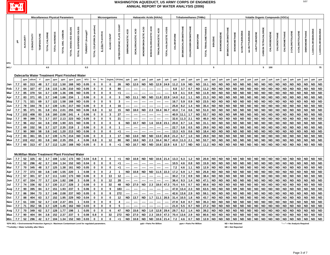

|            |       |            |              |                    |                      |                | <b>Miscellaneous Physical Parameters</b>             |                        |                                  |                                                                                                  |                             |                      | Microorganisms |                                  |                           |                          |                      | <b>Haloacetic Acids (HAAs)</b> |                      |                        |            | <b>Trihalomethanes (THMs)</b> |                             |                  |                       |                |                     |                           |                     |                   |                  |                |                             |                      | <b>Volatile Organic Compounds (VOCs)</b> |               |                               |                 |                       |                   |                     |
|------------|-------|------------|--------------|--------------------|----------------------|----------------|------------------------------------------------------|------------------------|----------------------------------|--------------------------------------------------------------------------------------------------|-----------------------------|----------------------|----------------|----------------------------------|---------------------------|--------------------------|----------------------|--------------------------------|----------------------|------------------------|------------|-------------------------------|-----------------------------|------------------|-----------------------|----------------|---------------------|---------------------------|---------------------|-------------------|------------------|----------------|-----------------------------|----------------------|------------------------------------------|---------------|-------------------------------|-----------------|-----------------------|-------------------|---------------------|
|            |       |            |              |                    |                      |                |                                                      |                        |                                  |                                                                                                  |                             |                      |                |                                  |                           |                          |                      |                                |                      |                        |            |                               |                             |                  |                       |                |                     |                           |                     |                   |                  |                |                             |                      |                                          |               |                               |                 |                       |                   |                     |
|            | 玉     | ALKALINITY | CONDUCTIVITY | <b>TEMPERATURE</b> | <b>TOTAL CHLORIN</b> | TOTAL HARDNESS | TOTAL ORG. CARBON                                    | TOTAL DISSOLVED SOLIDS | <b>SOLIDS</b><br>TOTAL SUSPENDED | TURBIDITY (Average)*                                                                             | TOTAL COLIFORM (% positive) | E. COLI (% positive) | ALGAE COUNT    | <b>HETEROTROPHIC PLATE COUNT</b> | <b>DIBROMOACETIC ACID</b> | DICHLOROACETIC ACID      | MONOBROMOACETIC ACID | MONOCHLOROACETIC ACID          | TRICHLOROACETIC ACID | TOTAL HALOACETIC ACIDS | CHLOROFORM | <b>BROMODICHLOROMETHANE</b>   | <b>CHLORODIBROMOMETHANE</b> | <b>BROMOFORM</b> | TOTAL TRIHALOMETHANES | <b>BENZENE</b> | <b>BROMOBENZENE</b> | <b>BROMOCHLOROMETHANE</b> | <b>BROMOMETHANE</b> | tert-BUTYLBENZENE | sec-BUTYLBENZENE | n-BUTYLBENZENE | <b>CARBON TETRACHLORIDE</b> | <b>CHLOROBENZENE</b> | CHLOROETHANE                             | CHLOROMETHANE | 2-CHLOROTOLUENE               | 4-CHLOROTOLUENE | <b>DIBROMOMETHANE</b> | 3-DICHLOROBENZENE | 1,4-DICHLOROBENZENE |
| <b>EPA</b> |       |            |              |                    | 4.0                  |                |                                                      |                        |                                  |                                                                                                  |                             |                      |                |                                  |                           |                          |                      |                                |                      |                        |            |                               |                             |                  |                       | ${\bf 5}$      |                     |                           |                     |                   |                  |                |                             |                      |                                          |               |                               |                 |                       |                   |                     |
| MCL*       |       |            |              |                    |                      |                |                                                      |                        |                                  | 0.3                                                                                              |                             |                      |                |                                  |                           |                          |                      |                                |                      |                        |            |                               |                             |                  |                       |                |                     |                           |                     |                   |                  |                | $5^{\circ}$                 | 100                  |                                          |               |                               |                 |                       |                   | 75                  |
|            |       |            |              |                    |                      |                | Dalecarlia Water Treatment Plant Finished Water      |                        |                                  |                                                                                                  |                             |                      |                |                                  |                           |                          |                      |                                |                      |                        |            |                               |                             |                  |                       |                |                     |                           |                     |                   |                  |                |                             |                      |                                          |               |                               |                 |                       |                   |                     |
|            |       | ppm        | JS/cm        |                    | ppm                  | ppm            | ppm                                                  | ppm                    | ppm                              | <b>NTU</b>                                                                                       | $% +$                       | $\% +$               | Org/ml         | CFU/mL                           | ppb                       | ppb                      | ppb                  | ppb                            | ppb                  | ppb                    | ppb        | ppb                           | ppb                         | ppb              | ppb                   | ppb            | ppb                 | ppb                       | ppb                 | ppb               | ppb              | ppb            | ppb                         | ppb                  | ppb                                      | ppb           | ppb                           | ppb             | ppb                   | ppb               | ppb                 |
| Jan        | 7.7   | 60         | 313          | 48                 | 3.7                  | 112            | 1.50                                                 | 168                    | <b>ND</b>                        | 0.05                                                                                             | $\mathbf 0$                 | 0                    | 0              | 26                               | <b>ND</b>                 | 12.0                     | <b>ND</b>            | <b>ND</b>                      | 12.9                 | 24.9                   | 11.2       | 3.9                           | <b>ND</b>                   | <b>ND</b>        | 15.1                  | <b>ND</b>      | <b>ND</b>           | <b>ND</b>                 | <b>ND</b>           | <b>ND</b>         | <b>ND</b>        | <b>ND</b>      | <b>ND</b>                   | <b>ND</b>            | <b>ND</b>                                | <b>ND</b>     | <b>ND</b>                     | <b>ND</b>       | <b>ND</b>             | ND                | <b>ND</b>           |
| Feb        | 7.7   | 64         | 327          | 47                 | 3.8                  | 115            | 1.36                                                 | 210                    | <b>ND</b>                        | 0.05                                                                                             | 0                           | 0                    | 8              | 80                               |                           |                          |                      |                                |                      |                        | 6.8        | 3.7                           | 0.7                         | <b>ND</b>        | 11.2                  | <b>ND</b>      | ND                  | <b>ND</b>                 | <b>ND</b>           | ND                | <b>ND</b>        | <b>ND</b>      | <b>ND</b>                   | <b>ND</b>            | <b>ND</b>                                | <b>ND</b>     | <b>ND</b>                     | <b>ND</b>       | <b>ND</b>             | ND                | <b>ND</b>           |
| Mar        | 7.7   | 85         | 370          | 54                 | 3.7                  | 139            | 1.36                                                 | 196                    | ND                               | 0.05                                                                                             | 0                           | 0                    | 0              | -1                               |                           | $\overline{\phantom{a}}$ |                      |                                |                      |                        | 6.9        | 4.1                           | 0.9                         | <b>ND</b>        | 11.9                  | <b>ND</b>      | ND                  | <b>ND</b>                 | <b>ND</b>           | ND                | <b>ND</b>        | <b>ND</b>      | <b>ND</b>                   | <b>ND</b>            | <b>ND</b>                                | <b>ND</b>     | <b>ND</b>                     | <b>ND</b>       | <b>ND</b>             | ND                | <b>ND</b>           |
| Apr        | 7.7   | 83         | 371          | 65                 | 3.7                  | 148            | 1.66                                                 | 234                    | $\mathbf{1}$                     | 0.06                                                                                             | 0                           | 0                    | 0              | 3                                | <b>ND</b>                 | 11.1                     | <b>ND</b>            | <b>ND</b>                      | 11.8                 | 22.9                   | 14.0       | 6.2                           | 1.1                         | <b>ND</b>        | 21.3                  | <b>ND</b>      | ND                  | <b>ND</b>                 | <b>ND</b>           | ND                | <b>ND</b>        | <b>ND</b>      | <b>ND</b>                   | <b>ND</b>            | <b>ND</b>                                | <b>ND</b>     | <b>ND</b>                     | <b>ND</b>       | <b>ND</b>             | ND                | <b>ND</b>           |
| May        | 7.7   | 71         | 321          | 69                 | 3.7                  | 122            | 1.58                                                 | 168                    | <b>ND</b>                        | 0.05                                                                                             | 0                           | 0                    | 5              | $\mathbf{3}$                     |                           |                          |                      |                                |                      |                        | 16.7       | 5.9                           | 0.9                         | <b>ND</b>        | 23.5                  | <b>ND</b>      | <b>ND</b>           | <b>ND</b>                 | <b>ND</b>           | <b>ND</b>         | <b>ND</b>        | <b>ND</b>      | <b>ND</b>                   | <b>ND</b>            | <b>ND</b>                                | <b>ND</b>     | <b>ND</b>                     | <b>ND</b>       | <b>ND</b>             | ND                | <b>ND</b>           |
| Jun        | 7.7   | 79         | 344          | 78                 | 3.7                  | 139            | 1.91                                                 | 217                    | <b>ND</b>                        | 0.06                                                                                             | 0                           | 0                    | 4              | 16                               |                           |                          |                      |                                |                      |                        | 25.8       | 8.2                           | 1.4                         | <b>ND</b>        | 35.4                  | <b>ND</b>      | <b>ND</b>           | <b>ND</b>                 | <b>ND</b>           | <b>ND</b>         | <b>ND</b>        | <b>ND</b>      | <b>ND</b>                   | <b>ND</b>            | <b>ND</b>                                | <b>ND</b>     | <b>ND</b>                     | <b>ND</b>       | <b>ND</b>             | <b>ND</b>         | <b>ND</b>           |
| Jul        | 7.7   | 95         | 371          | 81                 | 3.8                  | 151            | 2.01                                                 | 255                    | <b>ND</b>                        | 0.06                                                                                             | 0.8                         | 0                    | 12             | 15                               | <b>ND</b>                 | 18.0                     | <b>ND</b>            | 2.3                            | 16.4                 | 36.7                   | 43.0       | 7.4                           | 0.6                         | <b>ND</b>        | 51.0                  | <b>ND</b>      | <b>ND</b>           | <b>ND</b>                 | <b>ND</b>           | <b>ND</b>         | <b>ND</b>        | <b>ND</b>      | <b>ND</b>                   | <b>ND</b>            | <b>ND</b>                                | <b>ND</b>     | <b>ND</b>                     | <b>ND</b>       | <b>ND</b>             | <b>ND</b>         | <b>ND</b>           |
|            | 7.7   | 102        | 408          | 83                 | 3.8                  | 160            | 2.08                                                 | 241                    | 4                                | 0.06                                                                                             | $\bf{0}$                    | 0                    | 3              | 27                               |                           | $\overline{\phantom{a}}$ |                      |                                |                      |                        | 40.9       | 11.1                          | 1.7                         | <b>ND</b>        | 53.7                  | <b>ND</b>      | ND                  | <b>ND</b>                 | <b>NR</b>           | ND                | <b>ND</b>        | <b>ND</b>      | <b>ND</b>                   | <b>ND</b>            | <b>ND</b>                                | <b>ND</b>     | <b>ND</b>                     | <b>ND</b>       | <b>ND</b>             | ND                | <b>ND</b>           |
| Aug<br>Sep | 7.7   | 99         | 399          | 73                 | 3.7                  | 157            | 2.13                                                 | 223                    | <b>ND</b>                        | 0.05                                                                                             | 0                           | 0                    | 5              | 21                               |                           |                          |                      |                                |                      |                        | 32.6       | 11.3                          | 2.1                         | <b>ND</b>        | 46.0                  | <b>ND</b>      | <b>ND</b>           | <b>ND</b>                 | <b>ND</b>           | <b>ND</b>         | <b>ND</b>        | <b>ND</b>      | <b>ND</b>                   | <b>ND</b>            | <b>ND</b>                                | <b>ND</b>     | <b>ND</b>                     | <b>ND</b>       | <b>ND</b>             | ND                | <b>ND</b>           |
| Oct        | 7.7   | 96         | 412          | 64                 | 3.8                  | 159            | 1.90                                                 | 221                    | <b>ND</b>                        | 0.06                                                                                             | $\bf{0}$                    | 0                    | 0              | 6                                | <b>ND</b>                 | 10.7                     | <b>ND</b>            | 1.6                            | 10.8                 | 23.1                   | 20.8       | 8.7                           | 1.6                         | <b>ND</b>        | 31.1                  | <b>ND</b>      | <b>ND</b>           | <b>ND</b>                 | <b>ND</b>           | <b>ND</b>         | <b>ND</b>        | <b>ND</b>      | <b>ND</b>                   | <b>ND</b>            | <b>ND</b>                                | <b>ND</b>     | <b>ND</b>                     | <b>ND</b>       | <b>ND</b>             | ND                | <b>ND</b>           |
| Nov        | 7.7   | 69         | 332          | 56                 | 3.7                  | 127            | 2.35                                                 | 219                    | $\overline{2}$                   | 0.06                                                                                             | $\mathbf{0}$                | 0                    | 0              | $\overline{1}$                   |                           |                          |                      |                                |                      |                        | 22.7       | 5.8                           | 0.5                         | <b>ND</b>        | 29.0                  | <b>ND</b>      | <b>ND</b>           | <b>ND</b>                 | <b>ND</b>           | <b>ND</b>         | <b>ND</b>        | <b>ND</b>      | <b>ND</b>                   | <b>ND</b>            | <b>ND</b>                                | <b>ND</b>     | <b>ND</b>                     | <b>ND</b>       | <b>ND</b>             | <b>ND</b>         | <b>ND</b>           |
| Dec        | 7.7   | 90         | 360          | 58                 | 3.8                  | 142            | 1.20                                                 | 213                    | <b>ND</b>                        | 0.06                                                                                             | $\bf{0}$                    | 0                    | 0              | $<$ 1                            |                           |                          |                      |                                |                      |                        | 13.3       | 4.5                           | 0.6                         | <b>ND</b>        | 18.4                  | <b>ND</b>      | <b>ND</b>           | <b>ND</b>                 | <b>ND</b>           | <b>ND</b>         | <b>ND</b>        | <b>ND</b>      | <b>ND</b>                   | <b>ND</b>            | <b>ND</b>                                | <b>ND</b>     | <b>ND</b>                     | <b>ND</b>       | <b>ND</b>             |                   | ND ND               |
|            | 7.7   | 83         | 361          | 65                 | 3.7                  | 139            | 1.75                                                 | 214                    | <b>ND</b>                        | 0.06                                                                                             | 0                           |                      | 3              | 17                               | <b>ND</b>                 | 13.0                     | <b>ND</b>            |                                | ND 13.0              | 26.9                   | 21.2       | 6.7                           | 1.0                         | <b>ND</b>        | 29.0                  | <b>ND</b>      | <b>ND</b>           | <b>ND</b>                 | <b>ND</b>           | <b>ND</b>         | <b>ND</b>        | <b>ND</b>      | <b>ND</b>                   | <b>ND</b>            | <b>ND</b>                                | <b>ND</b>     | ND                            | <b>ND</b>       | <b>ND</b>             |                   | ND ND               |
| Avg        | 7.7   | 102        | 412          | 83                 | 3.8                  | 160            | 2.35                                                 | 255                    | $\overline{\mathbf{4}}$          | 0.06                                                                                             | 0.8                         | 0                    | 12             | 80                               | <b>ND</b>                 | 18.0                     | <b>ND</b>            | 2.3                            | 16.4                 | 36.7                   | 43.0       | 11.3                          | 2.1                         | <b>ND</b>        | 53.7                  | <b>ND</b>      | <b>ND</b>           | <b>ND</b>                 | <b>ND</b>           | <b>ND</b>         | <b>ND</b>        | <b>ND</b>      | <b>ND</b>                   | <b>ND</b>            | <b>ND</b>                                | <b>ND</b>     | <b>ND</b>                     | <b>ND</b>       | <b>ND</b>             | ND ND             |                     |
| Max<br>Min | $7.7$ | 60         | 313          | 47                 | 3.7                  | 112            | 1.20                                                 | 168                    | <b>ND</b>                        | 0.05                                                                                             | $\mathbf{0}$                | 0<br>0               | $\mathbf 0$    | $<$ 1                            | <b>ND</b>                 | 10.7                     | <b>ND</b>            | <b>ND</b>                      | 10.8                 | 22.9                   | 6.8        | 3.7                           | <b>ND</b>                   | <b>ND</b>        | 11.2                  | <b>ND</b>      | <b>ND</b>           | <b>ND</b>                 | <b>ND</b>           | <b>ND</b>         | <b>ND</b>        | <b>ND</b>      | <b>ND</b>                   | <b>ND</b>            | <b>ND</b>                                | <b>ND</b>     | <b>ND</b>                     | <b>ND</b>       | <b>ND</b>             | ND ND             |                     |
|            |       |            |              |                    |                      |                |                                                      |                        |                                  |                                                                                                  |                             |                      |                |                                  |                           |                          |                      |                                |                      |                        |            |                               |                             |                  |                       |                |                     |                           |                     |                   |                  |                |                             |                      |                                          |               |                               |                 |                       |                   |                     |
|            |       |            |              |                    |                      |                |                                                      |                        |                                  |                                                                                                  |                             |                      |                |                                  |                           |                          |                      |                                |                      |                        |            |                               |                             |                  |                       |                |                     |                           |                     |                   |                  |                |                             |                      |                                          |               |                               |                 |                       |                   |                     |
|            |       |            |              |                    |                      |                | <b>McMillan Water Treatment Plant Finished Water</b> |                        |                                  |                                                                                                  |                             |                      |                |                                  |                           |                          |                      |                                |                      |                        |            |                               |                             |                  |                       |                |                     |                           |                     |                   |                  |                |                             |                      |                                          |               |                               |                 |                       |                   |                     |
| Jan        | 7.7   | 52         | 325          | 42                 | 3.7                  | 108            | 1.52                                                 | 173                    | <b>ND</b>                        | 0.04                                                                                             | 0.8                         | $\mathbf 0$          | $\mathbf 0$    | $<$ 1                            | <b>ND</b>                 | 10.8                     | <b>ND</b>            |                                | ND 10.6              | 21.4                   | 13.3       | 6.3                           | $1.2$                       | <b>ND</b>        | 20.8                  | <b>ND</b>      | <b>ND</b>           | <b>ND</b>                 | <b>ND</b>           | <b>ND</b>         | <b>ND</b>        | <b>ND</b>      | <b>ND</b>                   | <b>ND</b>            | <b>ND</b>                                | <b>ND</b>     | <b>ND</b>                     | <b>ND</b>       | <b>ND</b>             | ND ND             |                     |
| Feb        | 7.7   | 52         | 296          | 42                 | 3.7                  | 104            | 1.34                                                 | 152                    | <b>ND</b>                        | 0.04                                                                                             | $\mathbf 0$                 | 0                    | $\mathbf 0$    | $<$ 1                            | ----                      | $---$                    | ----                 |                                |                      | ----                   | 10.5       | 4.6                           | 0.8                         | <b>ND</b>        | 15.9                  | <b>ND</b>      | <b>ND</b>           | <b>ND</b>                 | <b>ND</b>           | <b>ND</b>         | <b>ND</b>        | <b>ND</b>      | <b>ND</b>                   | <b>ND</b>            | <b>ND</b>                                | <b>ND</b>     | <b>ND</b>                     | <b>ND</b>       | <b>ND</b>             |                   | ND ND               |
| Mar        | 7.7   | 70         | 345          | 48                 | 3.7                  | 125            | 1.38                                                 | 161                    | <b>ND</b>                        | 0.05                                                                                             | 0                           | 0                    | 0              | -1                               |                           | ----                     |                      |                                |                      |                        | 7.2        | 4.6                           | 1.1                         | ND.              | 12.9                  | <b>ND</b>      | <b>ND</b>           | <b>ND</b>                 | <b>ND</b>           | ND                | <b>ND</b>        | <b>ND</b>      | <b>ND</b>                   | ND.                  | <b>ND</b>                                | <b>ND</b>     | ND                            | <b>ND</b>       | <b>ND</b>             | ND I              | <b>ND</b>           |
| Apr        | 7.7   | 77         | 373          | 60                 | 3.8                  | 140            | 1.55                                                 | 220                    | $\mathbf 1$                      | 0.08                                                                                             | 0                           | 0                    | $\overline{2}$ | $\mathbf{1}$                     | ND                        | 10.8                     | ND                   | <b>ND</b>                      | 11.5                 | 22.3                   | 17.2       | 6.9                           | 1.7                         | <b>ND</b>        | 25.8                  | <b>ND</b>      | ND                  | <b>ND</b>                 | <b>ND</b>           | <b>ND</b>         | <b>ND</b>        | <b>ND</b>      | <b>ND</b>                   | <b>ND</b>            | ND                                       | <b>ND</b>     | ND                            | <b>ND</b>       | <b>ND</b>             | ND                | <b>ND</b>           |
| May        | 7.7   | 57         | 301          | 67                 | 3.7                  | 111            | 1.63                                                 | 173                    | <b>ND</b>                        | 0.06                                                                                             | $\Omega$                    | 0                    | 13             | 12                               | ----                      | ----                     |                      |                                | ----                 | ----                   | 30.2       | 7.3                           | 0.9                         | <b>ND</b>        | 38.4                  | ND             | ND                  | <b>ND</b>                 | <b>ND</b>           | ND                | <b>ND</b>        | ND             | <b>ND</b>                   | ND                   | <b>ND</b>                                | <b>ND</b>     | ND                            | <b>ND</b>       | <b>ND</b>             | ND                | <b>ND</b>           |
| Jun        | 7.7   | 67         | 334          | 77                 | 3.7                  | 124            | 1.82                                                 | 198                    | 3                                | 0.08                                                                                             | 0                           | 0                    | 12             | 28                               |                           | ----                     |                      |                                |                      |                        | 36.4       | 9.3                           | 1.4                         | <b>ND</b>        | 47.1                  | <b>ND</b>      | ND                  | <b>ND</b>                 | <b>ND</b>           | ND                | <b>ND</b>        | <b>ND</b>      | ND                          | <b>ND</b>            | <b>ND</b>                                | <b>ND</b>     | <b>ND</b>                     | <b>ND</b>       | <b>ND</b>             | ND                | <b>ND</b>           |
| Jul        | 7.7   | 74         | 336          | 82                 | 3.7                  | 130            | 2.17                                                 | 228                    | $\overline{2}$                   | 0.08                                                                                             | 0                           | 0                    | 32             | 48                               | <b>ND</b>                 | 27.0                     | <b>ND</b>            | 2.3                            | 18.0                 | 47.3                   | 70.4       | 9.5                           | 0.7                         | <b>ND</b>        | 80.6                  | <b>ND</b>      | ND                  | <b>ND</b>                 | <b>ND</b>           | ND                | <b>ND</b>        | <b>ND</b>      | ND                          | ND                   | <b>ND</b>                                | <b>ND</b>     | <b>ND</b>                     | <b>ND</b>       | <b>ND</b>             | ND                | <b>ND</b>           |
| Aug        | 7.7   | 90         | 395          | 84                 | 3.7                  | 151            | 1.93                                                 | 237                    | 5                                | 0.06                                                                                             | 0                           | 0                    | 9              | 183                              |                           |                          |                      |                                |                      |                        | 47.8       | 13.4                          | 2.3                         | <b>ND</b>        | 63.5                  | <b>ND</b>      | ND                  | ND                        | <b>NR</b>           | ND                | <b>ND</b>        | ND             | <b>ND</b>                   | ND                   | ND                                       | <b>ND</b>     | ND                            | ND              | <b>ND</b>             | ND                | <b>ND</b>           |
| Sep        | 7.7   | 86         | 394          | 73                 | 3.7                  | 146            | 2.08                                                 | 237                    | <b>ND</b>                        | 0.05                                                                                             | 0                           | 0                    | 8              | 272                              |                           | $---$                    |                      |                                |                      |                        | 42.6       | 13.6                          | 2.9                         | ND               | 59.1                  | ND             | ND                  | ND                        | <b>ND</b>           | ND                | ND               | ND             | <b>ND</b>                   | ND                   | ND                                       | <b>ND</b>     | ND                            | ND              | <b>ND</b>             | ND                | <b>ND</b>           |
| Oct        | 7.7   | 88         | 404          | 63                 | 3.7                  | 152            | 1.95                                                 | 229                    | ND                               | 0.04                                                                                             | $\mathbf 0$                 | 0                    | 0              | 12                               | ND                        | 13.7                     | <b>ND</b>            | $1.7$ 11.1                     |                      | 26.5                   | 31.4       | 10.5                          | 1.8                         | <b>ND</b>        | 43.7                  | <b>ND</b>      | ND                  | ND                        | <b>ND</b>           | ND                | ND               | <b>ND</b>      | <b>ND</b>                   | ND                   | ND                                       | <b>ND</b>     | ND                            | <b>ND</b>       | <b>ND</b>             | ND                | <b>ND</b>           |
| Nov        | 7.7   | 61         | 330          | 52                 | 3.7                  | 119            | 2.37                                                 | 201                    | $\mathbf{1}$                     | 0.03                                                                                             | $\mathbf 0$                 | 0                    | 0              | 4                                |                           |                          |                      |                                |                      |                        | 27.8       | 6.8                           | 0.7                         | <b>ND</b>        | 35.3                  | <b>ND</b>      | ND                  | <b>ND</b>                 | <b>ND</b>           | <b>ND</b>         | <b>ND</b>        | <b>ND</b>      | <b>ND</b>                   | <b>ND</b>            | <b>ND</b>                                | <b>ND</b>     | <b>ND</b>                     | <b>ND</b>       | <b>ND</b>             | ND                | <b>ND</b>           |
| Dec        | 7.7   | 71         | 352          | 56                 | 3.7                  | 128            | 1.45                                                 | 162                    | <b>ND</b>                        | 0.03                                                                                             | $\mathbf 0$                 | 0                    | 0              | 5                                |                           |                          |                      |                                |                      |                        | 21.0       | 5.5                           | 0.7                         | <b>ND</b>        | 27.2                  | <b>ND</b>      | ND                  | <b>ND</b>                 | <b>ND</b>           | ND                | <b>ND</b>        | <b>ND</b>      | <b>ND</b>                   | <b>ND</b>            | <b>ND</b>                                | <b>ND</b>     | <b>ND</b>                     | <b>ND</b>       | <b>ND</b>             | ND                | <b>ND</b>           |
| Avg        | 7.7   | 70         | 349          | 62                 | 3.7                  | 128            | 1.77                                                 | 198                    | -1                               | 0.05                                                                                             | $\mathbf 0$                 | 0                    | 6              | 47                               | <b>ND</b>                 | 15.6                     | <b>ND</b>            |                                | $1.0$   12.8         | 29.4                   | 29.7       | 8.2                           | 1.4                         | <b>ND</b>        | 39.2                  | <b>ND</b>      | ND                  | <b>ND</b>                 | <b>ND</b>           | ND                | <b>ND</b>        | <b>ND</b>      | <b>ND</b>                   | <b>ND</b>            | ND                                       | <b>ND</b>     | <b>ND</b>                     | <b>ND</b>       | <b>ND</b>             |                   | ND ND               |
| Max        | 7.7   | 90         | 404          | 84                 | 3.8                  | 152            | 2.37                                                 | 237                    | 5                                | 0.08                                                                                             | 0.8                         | $\mathbf 0$          | 32             | 272                              | <b>ND</b>                 | 27.0                     | <b>ND</b>            | 2.3                            | 18.0                 | 47.3                   | 70.4       | 13.6                          | 2.9                         | <b>ND</b>        | 80.6                  | <b>ND</b>      | <b>ND</b>           | <b>ND</b>                 | <b>ND</b>           | <b>ND</b>         | <b>ND</b>        | <b>ND</b>      | <b>ND</b>                   | <b>ND</b>            | <b>ND</b>                                | <b>ND</b>     | <b>ND</b>                     | <b>ND</b>       | <b>ND</b>             | ND                | <b>ND</b>           |
| Min        | 7.7   | 52         | 296          | 42                 | 3.7                  | 104            | 1.34                                                 | 152                    | <b>ND</b>                        | 0.03                                                                                             | $\mathbf 0$                 | 0                    | $\mathbf 0$    | $<$ 1                            | <b>ND</b>                 | 10.8                     | <b>ND</b>            | <b>ND</b>                      | 10.6                 | 21.4                   | 7.2        | 4.6                           | 0.7                         | <b>ND</b>        | 12.9                  | <b>ND</b>      | <b>ND</b>           | <b>ND</b>                 | <b>ND</b>           | <b>ND</b>         | <b>ND</b>        | ND             | <b>ND</b>                   | <b>ND</b>            | <b>ND</b>                                | <b>ND</b>     | <b>ND</b>                     | <b>ND</b>       | <b>ND</b>             | ND ND             |                     |
|            |       |            |              |                    |                      |                |                                                      |                        |                                  | *EPA MCL = Environmental Protection Agency's Maximum Contaminant Level for regulated parameters. |                             |                      |                |                                  |                           |                          |                      | ppb = Parts Per Billion        |                      |                        |            | ppm = Parts Per Million       |                             |                  |                       |                |                     |                           | ND = Not Detected   |                   |                  |                |                             |                      |                                          |               | "----" = No Analysis Required |                 |                       |                   |                     |

**\*\*Turbidity = Water turbidity after filters NR = Not Reported**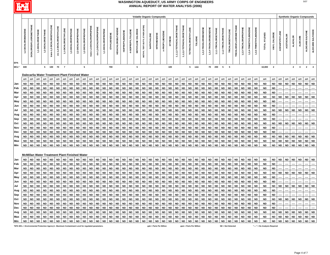

|                                                                                                 |                     |                                |                    |                        |                            |                          |                        |                        |                        |                                                 |                           |                         |                        |                        |                            |                         |                        |                           |                                | <b>Volatile Organic Compounds</b> |                        |                         |                        |                           |                           |                            |                         |                        |                        |                        |                        |                          |                               |                        |                        |                        |                               |                        |                |                   | <b>Synthetic Organic Compounds</b> |                 |                  |                    |
|-------------------------------------------------------------------------------------------------|---------------------|--------------------------------|--------------------|------------------------|----------------------------|--------------------------|------------------------|------------------------|------------------------|-------------------------------------------------|---------------------------|-------------------------|------------------------|------------------------|----------------------------|-------------------------|------------------------|---------------------------|--------------------------------|-----------------------------------|------------------------|-------------------------|------------------------|---------------------------|---------------------------|----------------------------|-------------------------|------------------------|------------------------|------------------------|------------------------|--------------------------|-------------------------------|------------------------|------------------------|------------------------|-------------------------------|------------------------|----------------|-------------------|------------------------------------|-----------------|------------------|--------------------|
|                                                                                                 |                     |                                |                    |                        |                            |                          |                        |                        |                        |                                                 |                           |                         |                        |                        |                            |                         |                        |                           |                                |                                   |                        |                         |                        |                           |                           |                            |                         |                        |                        |                        |                        |                          |                               |                        |                        |                        |                               |                        |                |                   |                                    |                 |                  |                    |
|                                                                                                 | 1,2-DICHLOROBENZENE | <b>DICHLORODIFLUOROMETHANE</b> | 1,1-DICHLOROETHANE | 1,2-DICHLOROETHANE     | trans-1,2-DICHLOROETHYLENE | cis-1,2-DICHLOROETHYLENE | 1,1-DICHLOROETHYLENE   | 1,3-DICHLOROPROPANE    | 2,2-DICHLOROPROPANE    | 1,2-DICHLOROPROPANE                             | trans-1,3-DICHLOROPROPENE | cis-1,3-DICHLOROPROPENE | 1,1-DICHLOROPROPENE    | ETHYLBENZENE           | <b>HEXACHLOROBUTADIENE</b> | <b>ISOPROPYLBENZENE</b> | 4-ISOPROPYLTOLUENE     | <b>METHYLENE CHLORIDE</b> | METHYL TERT-BUTYL ETHER (MTBE) | NAPHTHALENE                       | NITROBENZENE           | n-PROPYLBENZENE         | <b>STYRENE</b>         | 1,1,1,2-TETRACHLOROETHANE | 1,1,2,2-TETRACHLOROETHANE | <b>TETRACHLOROETHYLENE</b> | <b>TOLUENE</b>          | 1,2,3-TRICHLOROBENZENE | 1,2,4-TRICHLOROBENZENE | 1,1,1-TRICHLOROETHANE  | 1,1,2-TRICHLOROETHANE  | <b>TRICHLOROETHYLENE</b> | <b>TRICHLOROFLUOROMETHANE</b> | 1,2,3-TRICHLOROPROPANE | 1,2,4-TRIMETHYLBENZENE | 1,3,5-TRIMETHYLBENZENE | TOTAL XYLENES                 | VINYL CHLORIDE         | ACENAPHTHYLENE | <b>ACETOCHLOR</b> | <b>ALACHLOR</b>                    | <b>ALDICARB</b> | ALDICARB SULFONE | ALDICARB SULFOXIDE |
| <b>EPA</b><br>MCL*                                                                              | 600                 |                                |                    | 5                      | 100                        | 70                       | $\overline{7}$         |                        |                        | 5                                               |                           |                         |                        | 700                    |                            |                         |                        | $5\phantom{.0}$           |                                |                                   |                        |                         | 100                    |                           |                           | 5                          | 1000                    |                        | 70                     | 200                    | $5\overline{5}$        | 5                        |                               |                        |                        |                        | 10,000                        | $\overline{2}$         |                |                   | $\mathbf{2}$                       | $\mathbf{3}$    | $\overline{2}$   | $\overline{4}$     |
|                                                                                                 |                     |                                |                    |                        |                            |                          |                        |                        |                        | Dalecarlia Water Treatment Plant Finished Water |                           |                         |                        |                        |                            |                         |                        |                           |                                |                                   |                        |                         |                        |                           |                           |                            |                         |                        |                        |                        |                        |                          |                               |                        |                        |                        |                               |                        |                |                   |                                    |                 |                  |                    |
|                                                                                                 | ppb                 | ppb                            | ppb                | ppb                    | ppb                        | ppb                      | ppb                    | ppb                    | ppb                    | ppb                                             | ppb                       | ppb                     | ppb                    | ppb                    | ppb                        | ppb                     | ppb                    | ppb                       | ppb                            | ppb                               | ppb                    | ppb                     | ppb                    | ppb                       | ppb                       | ppb                        | ppb                     | ppb                    | ppb                    | ppb                    | ppb                    | ppb                      | ppb                           | ppb                    | ppb                    | ppb                    | ppb                           | ppb                    | ppb            | ppb               | ppb                                | ppb             | ppb              | ppb                |
| Jan                                                                                             | <b>ND</b>           | <b>ND</b>                      | <b>ND</b>          | <b>ND</b>              | <b>ND</b>                  | <b>ND</b>                | <b>ND</b>              | <b>ND</b>              | <b>ND</b>              | <b>ND</b>                                       | <b>ND</b>                 | <b>ND</b>               | <b>ND</b>              | <b>ND</b>              | <b>ND</b>                  | <b>ND</b>               | <b>ND</b>              | <b>ND</b>                 | <b>ND</b>                      | <b>ND</b>                         | <b>ND</b>              | <b>ND</b>               | <b>ND</b>              | <b>ND</b>                 | <b>ND</b>                 | <b>ND</b>                  | <b>ND</b>               | <b>ND</b>              | <b>ND</b>              | <b>ND</b>              | <b>ND</b>              | <b>ND</b>                | <b>ND</b>                     | <b>ND</b>              | <b>ND</b>              | <b>ND</b>              | <b>ND</b>                     | <b>ND</b>              | <b>ND</b>      | <b>ND</b>         | <b>ND</b>                          | <b>ND</b>       | ${\sf ND}$       | <b>ND</b>          |
| Feb                                                                                             | ND                  | <b>ND</b>                      | <b>ND</b>          | <b>ND</b>              | <b>ND</b>                  | <b>ND</b>                | <b>ND</b>              | <b>ND</b>              | <b>ND</b>              | <b>ND</b>                                       | <b>ND</b>                 | <b>ND</b>               | <b>ND</b>              | <b>ND</b>              | <b>ND</b>                  | <b>ND</b>               | <b>ND</b>              | <b>ND</b>                 | <b>ND</b>                      | <b>ND</b>                         | <b>ND</b>              | <b>ND</b>               | <b>ND</b>              | <b>ND</b>                 | <b>ND</b>                 | <b>ND</b>                  | <b>ND</b>               | <b>ND</b>              | <b>ND</b>              | <b>ND</b>              | <b>ND</b>              | <b>ND</b>                | <b>ND</b>                     | <b>ND</b>              | <b>ND</b>              | <b>ND</b>              | <b>ND</b>                     | <b>ND</b>              |                |                   |                                    |                 |                  |                    |
| Mar                                                                                             | <b>ND</b>           | <b>ND</b>                      | <b>ND</b>          | <b>ND</b>              | <b>ND</b>                  | <b>ND</b>                | <b>ND</b>              | <b>ND</b>              | <b>ND</b>              | <b>ND</b>                                       | <b>ND</b>                 | <b>ND</b>               | <b>ND</b>              | <b>ND</b>              | <b>ND</b>                  | <b>ND</b>               | <b>ND</b>              | <b>ND</b>                 | <b>ND</b>                      | <b>ND</b>                         | <b>ND</b>              | <b>ND</b>               | <b>ND</b>              | <b>ND</b>                 | <b>ND</b>                 | <b>ND</b>                  | <b>ND</b>               | <b>ND</b>              | <b>ND</b>              | <b>ND</b>              | <b>ND</b>              | <b>ND</b>                | <b>ND</b>                     | <b>ND</b>              | <b>ND</b>              | <b>ND</b>              | <b>ND</b>                     | <b>ND</b>              |                |                   |                                    |                 |                  |                    |
| Apr                                                                                             | ND                  | <b>ND</b>                      | <b>ND</b>          | <b>ND</b>              | <b>ND</b>                  | ND                       | <b>ND</b>              | <b>ND</b>              | <b>ND</b>              | <b>ND</b>                                       | <b>ND</b>                 | <b>ND</b>               | <b>ND</b>              | <b>ND</b>              | <b>ND</b>                  | <b>ND</b>               | <b>ND</b>              | <b>ND</b>                 | <b>ND</b>                      | <b>ND</b>                         | <b>ND</b>              | <b>ND</b>               | <b>ND</b>              | <b>ND</b>                 | <b>ND</b>                 | <b>ND</b>                  | <b>ND</b>               | <b>ND</b>              | <b>ND</b>              | <b>ND</b>              | <b>ND</b>              | <b>ND</b>                | <b>ND</b>                     | <b>ND</b>              | ND                     | <b>ND</b>              | <b>ND</b>                     | ND                     | <b>ND</b>      | <b>ND</b>         | <b>ND</b>                          | <b>ND</b>       | <b>ND</b>        | <b>ND</b>          |
| May                                                                                             | ND                  | <b>ND</b>                      | <b>ND</b>          | <b>ND</b>              | ND                         | ND                       | <b>ND</b>              | <b>ND</b>              | <b>ND</b>              | <b>ND</b>                                       | <b>ND</b>                 | <b>ND</b>               | <b>ND</b>              | <b>ND</b>              | ND                         | <b>ND</b>               | ND                     | <b>ND</b>                 | <b>ND</b>                      | <b>ND</b>                         | <b>ND</b>              | <b>ND</b>               | <b>ND</b>              | <b>ND</b>                 | ND                        | ND                         | <b>ND</b>               | <b>ND</b>              | <b>ND</b>              | <b>ND</b>              | <b>ND</b>              | <b>ND</b>                | <b>ND</b>                     | <b>ND</b>              | <b>ND</b>              | <b>ND</b>              | ND                            | ND                     |                |                   |                                    |                 |                  |                    |
| Jun                                                                                             | ND                  | <b>ND</b>                      | <b>ND</b>          | <b>ND</b>              | <b>ND</b>                  | <b>ND</b>                | <b>ND</b>              | <b>ND</b>              | <b>ND</b>              | <b>ND</b>                                       | <b>ND</b>                 | <b>ND</b>               | <b>ND</b>              | <b>ND</b>              | <b>ND</b>                  | <b>ND</b>               | <b>ND</b>              | <b>ND</b>                 | <b>ND</b>                      | <b>ND</b>                         | <b>ND</b>              | <b>ND</b>               | <b>ND</b>              | <b>ND</b>                 | <b>ND</b>                 | <b>ND</b>                  | <b>ND</b>               | <b>ND</b>              | <b>ND</b>              | <b>ND</b>              | <b>ND</b>              | <b>ND</b>                | <b>ND</b>                     | <b>ND</b>              | <b>ND</b>              | <b>ND</b>              | <b>ND</b>                     | <b>ND</b>              |                |                   |                                    |                 |                  |                    |
| Jul                                                                                             | ND                  | <b>ND</b>                      | ND                 | <b>ND</b>              | <b>ND</b>                  | ND                       | <b>ND</b>              | <b>ND</b>              | <b>ND</b>              | <b>ND</b>                                       | ND                        | <b>ND</b>               | <b>ND</b>              | <b>ND</b>              | <b>ND</b>                  | <b>ND</b>               | <b>ND</b>              | <b>ND</b>                 | <b>ND</b>                      | <b>ND</b>                         | <b>ND</b>              | ND                      | <b>ND</b>              | <b>ND</b>                 | <b>ND</b>                 | <b>ND</b>                  | <b>ND</b>               | <b>ND</b>              | <b>ND</b>              | ND                     | <b>ND</b>              | <b>ND</b>                | <b>ND</b>                     | <b>ND</b>              | <b>ND</b>              | <b>ND</b>              | ND                            | <b>ND</b>              | <b>ND</b>      | <b>ND</b>         | ND                                 | <b>ND</b>       | <b>ND</b>        | <b>ND</b>          |
| Aug                                                                                             | ND                  | <b>ND</b>                      | <b>ND</b>          | <b>ND</b>              | <b>ND</b>                  | ND                       | <b>ND</b>              | <b>ND</b>              | <b>ND</b>              | <b>ND</b>                                       | <b>ND</b>                 | <b>ND</b>               | <b>ND</b>              | <b>ND</b>              | <b>ND</b>                  | <b>ND</b>               | <b>ND</b>              | <b>ND</b>                 | <b>ND</b>                      | <b>ND</b>                         | <b>ND</b>              | <b>ND</b>               | <b>ND</b>              | <b>ND</b>                 | <b>ND</b>                 | <b>ND</b>                  | <b>ND</b>               | <b>ND</b>              | <b>ND</b>              | <b>ND</b>              | <b>ND</b>              | <b>ND</b>                | <b>ND</b>                     | <b>ND</b>              | <b>ND</b>              | <b>ND</b>              | ND                            | <b>ND</b>              |                |                   |                                    |                 |                  |                    |
| Sep                                                                                             | ND                  | <b>ND</b>                      | <b>ND</b>          | <b>ND</b>              | <b>ND</b>                  | ND                       | <b>ND</b>              | <b>ND</b>              | <b>ND</b>              | <b>ND</b>                                       | <b>ND</b>                 | <b>ND</b>               | <b>ND</b>              | <b>ND</b>              | <b>ND</b>                  | <b>ND</b>               | <b>ND</b>              | <b>ND</b>                 | <b>ND</b>                      | <b>ND</b>                         | <b>ND</b>              | <b>ND</b>               | <b>ND</b>              | <b>ND</b>                 | <b>ND</b>                 | <b>ND</b>                  | <b>ND</b>               | <b>ND</b>              | <b>ND</b>              | ND                     | <b>ND</b>              | <b>ND</b>                | <b>ND</b>                     | <b>ND</b>              | <b>ND</b>              | <b>ND</b>              | ND                            | <b>ND</b>              |                |                   |                                    |                 |                  |                    |
| Oct                                                                                             | ND                  | <b>ND</b>                      | ND                 | <b>ND</b><br><b>ND</b> | <b>ND</b>                  | <b>ND</b>                | <b>ND</b><br><b>ND</b> | <b>ND</b><br><b>ND</b> | <b>ND</b>              | <b>ND</b><br><b>ND</b>                          | <b>ND</b><br><b>ND</b>    | <b>ND</b>               | <b>ND</b>              | <b>ND</b><br><b>ND</b> | <b>ND</b><br><b>ND</b>     | <b>ND</b><br><b>ND</b>  | <b>ND</b>              | <b>ND</b><br><b>ND</b>    | <b>ND</b><br><b>ND</b>         | <b>ND</b>                         | <b>ND</b><br><b>ND</b> | <b>ND</b>               | <b>ND</b>              | <b>ND</b>                 | <b>ND</b><br><b>ND</b>    | <b>ND</b><br><b>ND</b>     | <b>ND</b><br><b>ND</b>  | <b>ND</b>              | <b>ND</b>              | <b>ND</b><br><b>ND</b> | <b>ND</b><br><b>ND</b> | <b>ND</b>                | <b>ND</b>                     | <b>ND</b><br><b>ND</b> | <b>ND</b><br>ND        | <b>ND</b>              | <b>ND</b>                     | ND<br><b>ND</b>        | <b>ND</b>      | <b>ND</b>         | <b>ND</b>                          | <b>ND</b>       | <b>ND</b>        | <b>ND</b>          |
| Nov<br>Dec                                                                                      | ND<br><b>ND</b>     | <b>ND</b><br><b>ND</b>         | ND<br><b>ND</b>    | <b>ND</b>              | ND<br><b>ND</b>            | ND<br><b>ND</b>          | <b>ND</b>              | <b>ND</b>              | <b>ND</b><br><b>ND</b> | <b>ND</b>                                       | <b>ND</b>                 | <b>ND</b><br><b>ND</b>  | <b>ND</b><br><b>ND</b> | <b>ND</b>              | <b>ND</b>                  | <b>ND</b>               | <b>ND</b><br><b>ND</b> | <b>ND</b>                 | <b>ND</b>                      | <b>ND</b><br><b>ND</b>            | <b>ND</b>              | <b>ND</b><br><b>ND</b>  | <b>ND</b><br><b>ND</b> | <b>ND</b><br><b>ND</b>    | <b>ND</b>                 | <b>ND</b>                  | <b>ND</b>               | <b>ND</b><br><b>ND</b> | <b>ND</b><br><b>ND</b> | <b>ND</b>              | <b>ND</b>              | <b>ND</b><br><b>ND</b>   | <b>ND</b><br><b>ND</b>        | <b>ND</b>              | ND                     | <b>ND</b><br><b>ND</b> | ND<br><b>ND</b>               | <b>ND</b>              |                |                   |                                    |                 |                  |                    |
| Avg                                                                                             | ND                  | <b>ND</b>                      | <b>ND</b>          | <b>ND</b>              | <b>ND</b>                  | <b>ND</b>                | <b>ND</b>              | <b>ND</b>              | <b>ND</b>              | <b>ND</b>                                       | <b>ND</b>                 | <b>ND</b>               | <b>ND</b>              | <b>ND</b>              | <b>ND</b>                  | <b>ND</b>               | <b>ND</b>              | <b>ND</b>                 | <b>ND</b>                      | <b>ND</b>                         | <b>ND</b>              | <b>ND</b>               | <b>ND</b>              | <b>ND</b>                 | <b>ND</b>                 | <b>ND</b>                  | <b>ND</b>               | <b>ND</b>              | <b>ND</b>              | <b>ND</b>              | <b>ND</b>              | <b>ND</b>                | <b>ND</b>                     | <b>ND</b>              | <b>ND</b>              | <b>ND</b>              | <b>ND</b>                     | <b>ND</b>              | <b>ND</b>      | <b>ND</b>         | <b>ND</b>                          | <b>ND</b>       | <b>ND</b>        | <b>ND</b>          |
| Max                                                                                             | ND                  | <b>ND</b>                      | ND                 | <b>ND</b>              | <b>ND</b>                  | <b>ND</b>                | ND                     | <b>ND</b>              | <b>ND</b>              | <b>ND</b>                                       | <b>ND</b>                 | <b>ND</b>               | <b>ND</b>              | <b>ND</b>              | <b>ND</b>                  | <b>ND</b>               | <b>ND</b>              | <b>ND</b>                 | <b>ND</b>                      | ${\sf ND}$                        | <b>ND</b>              | <b>ND</b>               | <b>ND</b>              | <b>ND</b>                 | <b>ND</b>                 | <b>ND</b>                  | <b>ND</b>               | <b>ND</b>              | <b>ND</b>              | <b>ND</b>              | <b>ND</b>              | <b>ND</b>                | <b>ND</b>                     | <b>ND</b>              | <b>ND</b>              | ${\sf ND}$             | <b>ND</b>                     | ND                     | <b>ND</b>      | <b>ND</b>         | $\sf ND$                           | <b>ND</b>       | $\sf ND$         | <b>ND</b>          |
| Min                                                                                             | ND                  | <b>ND</b>                      | <b>ND</b>          | <b>ND</b>              | <b>ND</b>                  | <b>ND</b>                | <b>ND</b>              | <b>ND</b>              | <b>ND</b>              | <b>ND</b>                                       | <b>ND</b>                 | <b>ND</b>               | <b>ND</b>              | $\sf ND$               | <b>ND</b>                  | <b>ND</b>               | <b>ND</b>              | <b>ND</b>                 | <b>ND</b>                      | $\mathsf{ND}$                     | <b>ND</b>              | ${\sf ND}$              | <b>ND</b>              | <b>ND</b>                 | <b>ND</b>                 | <b>ND</b>                  | <b>ND</b>               | ${\sf ND}$             | <b>ND</b>              | <b>ND</b>              | <b>ND</b>              | <b>ND</b>                | <b>ND</b>                     | <b>ND</b>              | <b>ND</b>              | <b>ND</b>              | <b>ND</b>                     | <b>ND</b>              | <b>ND</b>      | <b>ND</b>         | <b>ND</b>                          | <b>ND</b>       | ${\sf ND}$       | <b>ND</b>          |
|                                                                                                 |                     |                                |                    |                        |                            |                          |                        |                        |                        |                                                 |                           |                         |                        |                        |                            |                         |                        |                           |                                |                                   |                        |                         |                        |                           |                           |                            |                         |                        |                        |                        |                        |                          |                               |                        |                        |                        |                               |                        |                |                   |                                    |                 |                  |                    |
|                                                                                                 |                     |                                |                    |                        |                            |                          |                        |                        |                        | McMillan Water Treatment Plant Finished Water   |                           |                         |                        |                        |                            |                         |                        |                           |                                |                                   |                        |                         |                        |                           |                           |                            |                         |                        |                        |                        |                        |                          |                               |                        |                        |                        |                               |                        |                |                   |                                    |                 |                  |                    |
| Jan                                                                                             | <b>ND</b>           | <b>ND</b>                      | <b>ND</b>          | <b>ND</b>              | <b>ND</b>                  | <b>ND</b>                | <b>ND</b>              | <b>ND</b>              | <b>ND</b>              | <b>ND</b>                                       | <b>ND</b>                 | <b>ND</b>               | <b>ND</b>              | <b>ND</b>              | <b>ND</b>                  | <b>ND</b>               | <b>ND</b>              | <b>ND</b>                 | <b>ND</b>                      | <b>ND</b>                         | <b>ND</b>              | <b>ND</b>               | <b>ND</b>              | <b>ND</b>                 | <b>ND</b>                 | <b>ND</b>                  | <b>ND</b>               | <b>ND</b>              | <b>ND</b>              | <b>ND</b>              | <b>ND</b>              | <b>ND</b>                | <b>ND</b>                     | <b>ND</b>              | <b>ND</b>              | <b>ND</b>              | <b>ND</b>                     | <b>ND</b>              | <b>ND</b>      | <b>ND</b>         | <b>ND</b>                          | <b>ND</b>       | <b>ND</b>        | <b>ND</b>          |
| Feb                                                                                             | ND                  | <b>ND</b>                      | <b>ND</b>          | <b>ND</b>              | <b>ND</b>                  | <b>ND</b>                | <b>ND</b>              | <b>ND</b>              | <b>ND</b>              | <b>ND</b>                                       | <b>ND</b>                 | <b>ND</b>               | <b>ND</b>              | <b>ND</b>              | <b>ND</b>                  | <b>ND</b>               | <b>ND</b>              | <b>ND</b>                 | <b>ND</b>                      | <b>ND</b>                         | <b>ND</b>              | <b>ND</b>               | <b>ND</b>              | <b>ND</b>                 | <b>ND</b>                 | <b>ND</b>                  | <b>ND</b>               | <b>ND</b>              | <b>ND</b>              | <b>ND</b>              | <b>ND</b>              | <b>ND</b>                | <b>ND</b>                     | <b>ND</b>              | ND                     | <b>ND</b>              | <b>ND</b>                     | <b>ND</b>              |                |                   |                                    |                 |                  |                    |
| Mar                                                                                             | ND                  | <b>ND</b>                      | <b>ND</b>          | <b>ND</b>              | <b>ND</b>                  | <b>ND</b>                | <b>ND</b>              | <b>ND</b>              | <b>ND</b>              | <b>ND</b>                                       | <b>ND</b>                 | <b>ND</b>               | <b>ND</b>              | <b>ND</b>              | <b>ND</b>                  | <b>ND</b>               | <b>ND</b>              | <b>ND</b>                 | <b>ND</b>                      | <b>ND</b>                         | <b>ND</b>              | <b>ND</b>               | <b>ND</b>              | <b>ND</b>                 | <b>ND</b>                 | <b>ND</b>                  | <b>ND</b>               | <b>ND</b>              | <b>ND</b>              | <b>ND</b>              | <b>ND</b>              | <b>ND</b>                | <b>ND</b>                     | <b>ND</b>              | <b>ND</b>              | <b>ND</b>              | ND                            | <b>ND</b>              |                |                   |                                    |                 |                  |                    |
| Apr                                                                                             | <b>ND</b>           | <b>ND</b>                      | <b>ND</b>          | <b>ND</b>              | <b>ND</b>                  | <b>ND</b>                | <b>ND</b>              | <b>ND</b>              | <b>ND</b>              | <b>ND</b>                                       | <b>ND</b>                 | <b>ND</b>               | <b>ND</b>              | <b>ND</b>              | <b>ND</b>                  | <b>ND</b>               | <b>ND</b>              | <b>ND</b>                 | <b>ND</b>                      | <b>ND</b>                         | <b>ND</b>              | <b>ND</b>               | <b>ND</b>              | <b>ND</b>                 | <b>ND</b>                 | <b>ND</b>                  | <b>ND</b>               | <b>ND</b>              | <b>ND</b>              | <b>ND</b>              | <b>ND</b>              | <b>ND</b>                | <b>ND</b>                     | <b>ND</b>              | ND                     | <b>ND</b>              | <b>ND</b>                     | <b>ND</b>              | <b>ND</b>      | <b>ND</b>         | <b>ND</b>                          | <b>ND</b>       | <b>ND</b>        | <b>ND</b>          |
| May                                                                                             | ND                  | <b>ND</b>                      | <b>ND</b>          | <b>ND</b>              | <b>ND</b>                  | ND                       | <b>ND</b>              | <b>ND</b>              | <b>ND</b>              | <b>ND</b>                                       | <b>ND</b>                 | <b>ND</b>               | <b>ND</b>              | <b>ND</b>              | <b>ND</b>                  | <b>ND</b>               | <b>ND</b>              | <b>ND</b>                 | <b>ND</b>                      | <b>ND</b>                         | <b>ND</b>              | <b>ND</b>               | <b>ND</b>              | <b>ND</b>                 | <b>ND</b>                 | <b>ND</b>                  | <b>ND</b>               | <b>ND</b>              | <b>ND</b>              | <b>ND</b>              | <b>ND</b>              | <b>ND</b>                | <b>ND</b>                     | <b>ND</b>              | ND                     | <b>ND</b>              | <b>ND</b>                     | <b>ND</b>              |                |                   |                                    |                 |                  |                    |
| Jun                                                                                             | ND                  | <b>ND</b>                      | <b>ND</b>          | <b>ND</b>              | <b>ND</b>                  | <b>ND</b>                | <b>ND</b>              | <b>ND</b>              | <b>ND</b>              | <b>ND</b>                                       | <b>ND</b>                 | <b>ND</b>               | <b>ND</b>              | <b>ND</b>              | <b>ND</b>                  | <b>ND</b>               | <b>ND</b>              | <b>ND</b>                 | <b>ND</b>                      | <b>ND</b>                         | <b>ND</b>              | <b>ND</b>               | <b>ND</b>              | <b>ND</b>                 | <b>ND</b>                 | <b>ND</b>                  | <b>ND</b>               | <b>ND</b>              | <b>ND</b>              | ND                     | <b>ND</b>              | <b>ND</b>                | <b>ND</b>                     | <b>ND</b>              | ND                     | <b>ND</b>              | <b>ND</b>                     | <b>ND</b>              |                |                   |                                    |                 |                  |                    |
| Jul                                                                                             | <b>ND</b>           | <b>ND</b>                      | <b>ND</b>          | <b>ND</b>              | <b>ND</b>                  | <b>ND</b>                | <b>ND</b>              | <b>ND</b>              | <b>ND</b>              | <b>ND</b>                                       | <b>ND</b>                 | <b>ND</b>               | <b>ND</b>              | <b>ND</b>              | <b>ND</b>                  | <b>ND</b>               | <b>ND</b>              | <b>ND</b>                 | <b>ND</b>                      | <b>ND</b>                         | <b>ND</b>              | <b>ND</b>               | <b>ND</b>              | <b>ND</b>                 | <b>ND</b>                 | <b>ND</b>                  | <b>ND</b>               | <b>ND</b>              | <b>ND</b>              | <b>ND</b>              | <b>ND</b>              | <b>ND</b>                | <b>ND</b>                     | <b>ND</b>              | <b>ND</b>              | <b>ND</b>              | <b>ND</b>                     | <b>ND</b>              | <b>ND</b>      | <b>ND</b>         | <b>ND</b>                          | <b>ND</b>       | <b>ND</b>        | <b>ND</b>          |
| Aug                                                                                             | ND                  | <b>ND</b>                      | ND                 | <b>ND</b>              | <b>ND</b>                  | ND                       | ND                     | <b>ND</b>              | <b>ND</b>              | <b>ND</b>                                       | ND                        | <b>ND</b>               | <b>ND</b>              | <b>ND</b>              | <b>ND</b>                  | <b>ND</b>               | <b>ND</b>              | <b>ND</b>                 | <b>ND</b>                      | <b>ND</b>                         | <b>ND</b>              | <b>ND</b>               | <b>ND</b>              | <b>ND</b>                 | <b>ND</b>                 | <b>ND</b>                  | <b>ND</b>               | <b>ND</b>              | <b>ND</b>              | <b>ND</b>              | <b>ND</b>              | ${\sf ND}$               | <b>ND</b>                     | <b>ND</b>              | <b>ND</b>              | <b>ND</b>              | <b>ND</b>                     | <b>ND</b>              |                |                   |                                    |                 |                  |                    |
| Sep                                                                                             | ND                  | <b>ND</b>                      | <b>ND</b>          | <b>ND</b>              | <b>ND</b>                  | ND                       | <b>ND</b>              | <b>ND</b>              | <b>ND</b>              | <b>ND</b>                                       | <b>ND</b>                 | <b>ND</b>               | <b>ND</b>              | <b>ND</b>              | <b>ND</b>                  | <b>ND</b>               | <b>ND</b>              | <b>ND</b>                 | <b>ND</b>                      | <b>ND</b>                         | <b>ND</b>              | <b>ND</b>               | <b>ND</b>              | <b>ND</b>                 | <b>ND</b>                 | <b>ND</b>                  | <b>ND</b>               | <b>ND</b>              | <b>ND</b>              | <b>ND</b>              | <b>ND</b>              | <b>ND</b>                | <b>ND</b>                     | <b>ND</b>              | <b>ND</b>              | <b>ND</b>              | <b>ND</b>                     | <b>ND</b>              |                |                   |                                    |                 |                  |                    |
| Oct                                                                                             | ND                  | <b>ND</b>                      | <b>ND</b>          | <b>ND</b>              | ND                         | <b>ND</b>                | <b>ND</b>              | <b>ND</b>              | <b>ND</b>              | <b>ND</b>                                       | <b>ND</b>                 | <b>ND</b>               | <b>ND</b>              | <b>ND</b>              | <b>ND</b>                  | <b>ND</b>               | <b>ND</b>              | <b>ND</b>                 | <b>ND</b>                      | <b>ND</b>                         | <b>ND</b>              | <b>ND</b>               | <b>ND</b>              | <b>ND</b>                 | <b>ND</b>                 | <b>ND</b>                  | <b>ND</b>               | <b>ND</b>              | <b>ND</b>              | <b>ND</b>              | <b>ND</b>              | <b>ND</b>                | <b>ND</b>                     | <b>ND</b>              | ND                     | <b>ND</b>              | ND                            | <b>ND</b>              | <b>ND</b>      | <b>ND</b>         | <b>ND</b>                          | <b>ND</b>       | <b>ND</b>        | <b>ND</b>          |
| Nov                                                                                             | ND                  | <b>ND</b>                      | <b>ND</b>          | <b>ND</b>              | ND                         | <b>ND</b>                | <b>ND</b>              | <b>ND</b>              | <b>ND</b>              | <b>ND</b>                                       | <b>ND</b>                 | <b>ND</b>               | <b>ND</b>              | <b>ND</b>              | <b>ND</b>                  | <b>ND</b>               | <b>ND</b>              | <b>ND</b><br><b>ND</b>    | <b>ND</b>                      | <b>ND</b><br><b>ND</b>            | <b>ND</b>              | <b>ND</b><br><b>ND</b>  | <b>ND</b>              | <b>ND</b>                 | <b>ND</b>                 | <b>ND</b>                  | <b>ND</b>               | <b>ND</b>              | <b>ND</b>              | <b>ND</b><br>ND        | <b>ND</b><br><b>ND</b> | <b>ND</b>                | <b>ND</b>                     | <b>ND</b><br><b>ND</b> | ND<br>ND               | <b>ND</b>              | ND                            | <b>ND</b>              |                |                   |                                    |                 |                  |                    |
| Dec                                                                                             | ND<br>ND            | <b>ND</b><br><b>ND</b>         | ND                 | <b>ND</b><br><b>ND</b> | <b>ND</b>                  | ND<br><b>ND</b>          | <b>ND</b><br><b>ND</b> | <b>ND</b><br><b>ND</b> | <b>ND</b><br><b>ND</b> | <b>ND</b><br><b>ND</b>                          | <b>ND</b><br><b>ND</b>    | <b>ND</b><br><b>ND</b>  | <b>ND</b><br><b>ND</b> | <b>ND</b><br><b>ND</b> | <b>ND</b><br><b>ND</b>     | <b>ND</b><br><b>ND</b>  | <b>ND</b><br><b>ND</b> | <b>ND</b>                 | <b>ND</b><br><b>ND</b>         | <b>ND</b>                         | <b>ND</b><br><b>ND</b> | <b>ND</b>               | <b>ND</b><br><b>ND</b> | <b>ND</b><br><b>ND</b>    | <b>ND</b><br><b>ND</b>    | <b>ND</b><br><b>ND</b>     | <b>ND</b><br><b>ND</b>  | <b>ND</b><br><b>ND</b> | <b>ND</b><br><b>ND</b> | <b>ND</b>              | <b>ND</b>              | <b>ND</b><br><b>ND</b>   | <b>ND</b><br><b>ND</b>        | <b>ND</b>              | <b>ND</b>              | <b>ND</b><br><b>ND</b> | ND<br><b>ND</b>               | <b>ND</b><br><b>ND</b> | <b>ND</b>      | <b>ND</b>         | <b>ND</b>                          | <b>ND</b>       | <b>ND</b>        | <b>ND</b>          |
| Avg<br>Max                                                                                      | ND                  | <b>ND</b>                      | ND<br>ND           | <b>ND</b>              | ND<br><b>ND</b>            | <b>ND</b>                | <b>ND</b>              | <b>ND</b>              | <b>ND</b>              | <b>ND</b>                                       | <b>ND</b>                 | <b>ND</b>               | <b>ND</b>              | <b>ND</b>              | <b>ND</b>                  | <b>ND</b>               | <b>ND</b>              | <b>ND</b>                 | <b>ND</b>                      | <b>ND</b>                         | <b>ND</b>              | <b>ND</b>               | <b>ND</b>              | <b>ND</b>                 | <b>ND</b>                 | <b>ND</b>                  | <b>ND</b>               | <b>ND</b>              | <b>ND</b>              | <b>ND</b>              | <b>ND</b>              | <b>ND</b>                | <b>ND</b>                     | <b>ND</b>              | <b>ND</b>              | <b>ND</b>              | <b>ND</b>                     | <b>ND</b>              | <b>ND</b>      | <b>ND</b>         | <b>ND</b>                          | <b>ND</b>       | <b>ND</b>        | <b>ND</b>          |
| Min                                                                                             | <b>ND</b>           | <b>ND</b>                      | <b>ND</b>          | <b>ND</b>              | <b>ND</b>                  | <b>ND</b>                | <b>ND</b>              | <b>ND</b>              | <b>ND</b>              | <b>ND</b>                                       | <b>ND</b>                 | <b>ND</b>               | <b>ND</b>              | <b>ND</b>              | <b>ND</b>                  | <b>ND</b>               | <b>ND</b>              | <b>ND</b>                 | <b>ND</b>                      | <b>ND</b>                         | <b>ND</b>              | <b>ND</b>               | <b>ND</b>              | <b>ND</b>                 | <b>ND</b>                 | <b>ND</b>                  | <b>ND</b>               | <b>ND</b>              | <b>ND</b>              | <b>ND</b>              | <b>ND</b>              | <b>ND</b>                | <b>ND</b>                     | <b>ND</b>              | <b>ND</b>              | <b>ND</b>              | <b>ND</b>                     | <b>ND</b>              | <b>ND</b>      | <b>ND</b>         | <b>ND</b>                          | <b>ND</b>       | <b>ND</b>        | <b>ND</b>          |
| *EPA MCL = Environmental Protection Agency's Maximum Contaminant Level for regulated parameters |                     |                                |                    |                        |                            |                          |                        |                        |                        |                                                 |                           |                         |                        |                        |                            |                         |                        |                           |                                |                                   |                        | ppb = Parts Per Billion |                        |                           |                           |                            | ppm = Parts Per Million |                        |                        |                        |                        | $ND = Not$ Detected      |                               |                        |                        |                        | "----" = No Analysis Required |                        |                |                   |                                    |                 |                  |                    |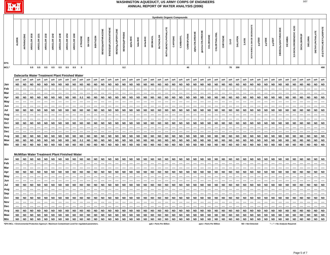

|                                                                                                  |               |            |              |              |                     |                                                      |              |              |               |           |           |                 |                    |                             |                             |                |           |           |           |                 |                         |                             |           | <b>Synthetic Organic Compounds</b> |                   |                 |                 |                         |               |           |           |                |                   |                                 |           |                |           |                               |                |                             |             |           |                  |                          |
|--------------------------------------------------------------------------------------------------|---------------|------------|--------------|--------------|---------------------|------------------------------------------------------|--------------|--------------|---------------|-----------|-----------|-----------------|--------------------|-----------------------------|-----------------------------|----------------|-----------|-----------|-----------|-----------------|-------------------------|-----------------------------|-----------|------------------------------------|-------------------|-----------------|-----------------|-------------------------|---------------|-----------|-----------|----------------|-------------------|---------------------------------|-----------|----------------|-----------|-------------------------------|----------------|-----------------------------|-------------|-----------|------------------|--------------------------|
| <b>EPA</b>                                                                                       | <b>ALDRIN</b> | ANTHRACENE | AROCLOR 1016 | AROCLOR 1221 | <b>AROCLOR 1232</b> | AROCLOR 1242                                         | AROCLOR 1248 | AROCLOR 1254 | AROCLOR 1260  | ATRAZINE  | BAYGON    | <b>BENTAZON</b> | BENZO(a)ANTHRACENE | <b>BENZO(K)FLUORANTHENE</b> | <b>BENZO(g,h,I)PERYLENE</b> | BENZO(a)PYRENE | alpha-BHC | beta-BHC  | delta-BHC | <b>BROMACIL</b> | <b>BUTACHLOR</b>        | <b>BUTYLBENZYLPHTHALATE</b> | CAFFEINE  | CARBARYL                           | <b>CARBOFURAN</b> | alpha-CHLORDANE | gamma-CHLORDANE | CHLORDANE               | CHLORTHALONIL | CHRYSENE  |           | <b>DALAPON</b> | $2,4-DB$          | DEGRADATE<br>DCPA MONO & DIACID | ada,d'd   | <b>A,p'DDE</b> | Taa,b     | DIBENZ(a,h)ANTHRACENE         | <b>DICAMBA</b> | ACID<br>3,5-DICHLOROBENZOIC | DICHLORPROP | DIELDRIN  | DIETHYLPHTHALATE | di-(2-ETHYLHEXYL)ADIPATE |
| MCL*                                                                                             |               |            | 0.5          | 0.5          | 0.5                 | 0.5                                                  | 0.5          | 0.5          | $0.5\qquad 3$ |           |           |                 |                    |                             |                             | 0.2            |           |           |           |                 |                         |                             |           |                                    | 40                |                 |                 | $\overline{2}$          |               |           |           | 70 200         |                   |                                 |           |                |           |                               |                |                             |             |           |                  | 400                      |
|                                                                                                  |               |            |              |              |                     | Dalecarlia Water Treatment Plant Finished Water      |              |              |               |           |           |                 |                    |                             |                             |                |           |           |           |                 |                         |                             |           |                                    |                   |                 |                 |                         |               |           |           |                |                   |                                 |           |                |           |                               |                |                             |             |           |                  |                          |
|                                                                                                  | ppb           | ppb        | ppb          | ppb          | ppb                 | ppb                                                  | ppb          | ppb          | ppb           | ppb       | ppb       | ppb             | ppb                | ppb                         | ppb                         | ppb            | ppb       | ppb       | ppb       | ppb             | ppb                     | ppb                         | ppb       | ppb                                | ppb               | ppb             | ppb             | ppb                     | ppb           | ppb       | ppb       | ppb            | ppb               | ppb                             | ppb       | ppb            | ppb       | ppb                           | ppb            | ppb                         | ppb         | ppb       | ppb              | ppb                      |
| Jan                                                                                              | ND            | <b>ND</b>  | <b>ND</b>    | <b>ND</b>    | <b>ND</b>           | <b>ND</b>                                            | <b>ND</b>    | <b>ND</b>    | <b>ND</b>     | <b>ND</b> | <b>ND</b> | <b>ND</b>       | <b>ND</b>          | <b>ND</b>                   | <b>ND</b>                   | <b>ND</b>      | <b>ND</b> | <b>ND</b> | <b>ND</b> | <b>ND</b>       | <b>ND</b>               | <b>ND</b>                   | <b>ND</b> | <b>ND</b>                          | <b>ND</b>         | <b>ND</b>       | <b>ND</b>       | <b>ND</b>               | <b>ND</b>     | <b>ND</b> | <b>ND</b> | <b>ND</b>      | <b>ND</b>         | <b>ND</b>                       | <b>ND</b> | <b>ND</b>      | <b>ND</b> | <b>ND</b>                     | <b>ND</b>      | <b>ND</b>                   | <b>ND</b>   | <b>ND</b> | <b>ND</b>        | <b>ND</b>                |
| Feb                                                                                              |               |            |              |              |                     |                                                      |              |              |               |           |           |                 |                    |                             |                             |                |           |           |           |                 |                         |                             |           |                                    |                   |                 |                 |                         |               |           |           |                |                   |                                 |           |                |           |                               |                |                             |             |           |                  |                          |
| Mar                                                                                              |               |            |              |              |                     |                                                      |              |              |               |           |           |                 |                    |                             |                             |                |           |           |           |                 |                         |                             |           |                                    |                   |                 |                 |                         |               |           |           |                |                   |                                 |           |                |           |                               |                |                             |             |           |                  |                          |
| Apr                                                                                              | <b>ND</b>     | <b>ND</b>  | <b>ND</b>    | <b>ND</b>    | <b>ND</b>           | <b>ND</b>                                            | <b>ND</b>    | <b>ND</b>    | <b>ND</b>     | 0.2       | <b>ND</b> | <b>ND</b>       | <b>ND</b>          | <b>ND</b>                   | <b>ND</b>                   | <b>ND</b>      | <b>ND</b> | <b>ND</b> | <b>ND</b> | <b>ND</b>       | <b>ND</b>               | <b>ND</b>                   | <b>ND</b> | <b>ND</b>                          | <b>ND</b>         | <b>ND</b>       | <b>ND</b>       | <b>ND</b>               | <b>ND</b>     | <b>ND</b> | <b>ND</b> | <b>ND</b>      | <b>ND</b>         | <b>ND</b>                       | <b>ND</b> | <b>ND</b>      | <b>ND</b> | <b>ND</b>                     | <b>ND</b>      | <b>ND</b>                   | <b>ND</b>   | <b>ND</b> | <b>ND</b>        | <b>ND</b>                |
| May<br>Jun                                                                                       |               |            |              |              |                     |                                                      |              |              |               |           |           |                 |                    |                             |                             |                |           |           |           |                 |                         |                             |           |                                    |                   |                 |                 |                         |               |           |           |                |                   |                                 |           |                |           |                               |                |                             |             |           |                  |                          |
| Jul                                                                                              | <b>ND</b>     | <b>ND</b>  | <b>ND</b>    | <b>ND</b>    | <b>ND</b>           | <b>ND</b>                                            | <b>ND</b>    | <b>ND</b>    | <b>ND</b>     | <b>ND</b> | <b>ND</b> | <b>ND</b>       | <b>ND</b>          | <b>ND</b>                   | <b>ND</b>                   | <b>ND</b>      | <b>ND</b> | <b>ND</b> | <b>ND</b> | <b>ND</b>       | <b>ND</b>               | <b>ND</b>                   | <b>ND</b> | <b>ND</b>                          | <b>ND</b>         | <b>ND</b>       | <b>ND</b>       | <b>ND</b>               | <b>ND</b>     | <b>ND</b> | <b>ND</b> | <b>ND</b>      | <b>ND</b>         | <b>ND</b>                       | <b>ND</b> | <b>ND</b>      | <b>ND</b> | <b>ND</b>                     | <b>ND</b>      | <b>ND</b>                   | <b>ND</b>   | <b>ND</b> | <b>ND</b>        | <b>ND</b>                |
| Aug                                                                                              |               |            |              |              |                     |                                                      |              |              |               |           |           |                 |                    |                             |                             |                |           |           |           |                 |                         |                             |           |                                    |                   |                 |                 |                         |               |           |           |                |                   |                                 |           |                |           |                               |                |                             |             |           |                  |                          |
| Sep                                                                                              |               |            |              |              |                     |                                                      |              |              |               |           |           |                 |                    |                             |                             |                |           |           |           |                 |                         |                             |           |                                    |                   |                 |                 |                         |               |           |           |                |                   |                                 |           |                |           |                               |                |                             |             |           |                  |                          |
| Oct                                                                                              | <b>ND</b>     | <b>ND</b>  | <b>ND</b>    | <b>ND</b>    | <b>ND</b>           | <b>ND</b>                                            | <b>ND</b>    | <b>ND</b>    | <b>ND</b>     | <b>ND</b> | <b>ND</b> | <b>ND</b>       | <b>ND</b>          | <b>ND</b>                   | <b>ND</b>                   | <b>ND</b>      | <b>ND</b> | <b>ND</b> | <b>ND</b> | <b>ND</b>       | <b>ND</b>               | <b>ND</b>                   | <b>ND</b> | <b>ND</b>                          | <b>ND</b>         | <b>ND</b>       | <b>ND</b>       | <b>ND</b>               | <b>ND</b>     | <b>ND</b> | <b>ND</b> | <b>ND</b>      | <b>ND</b>         | <b>ND</b>                       | <b>ND</b> | <b>ND</b>      | <b>ND</b> | <b>ND</b>                     | <b>ND</b>      | <b>ND</b>                   | <b>ND</b>   | <b>ND</b> | <b>ND</b>        | <b>ND</b>                |
| Nov                                                                                              |               | ---        | ----         |              |                     |                                                      |              |              | ----          |           |           |                 |                    |                             |                             |                | ----      |           | ----      |                 |                         |                             | ----      |                                    |                   |                 | ---             |                         | ----          |           |           |                |                   |                                 |           |                | ----      | …                             |                | ---                         |             |           | ----             | ----                     |
| Dec                                                                                              |               |            |              |              |                     |                                                      |              |              |               |           |           |                 |                    |                             |                             |                |           |           |           |                 |                         |                             |           |                                    |                   |                 |                 |                         |               |           |           |                |                   |                                 |           |                |           |                               |                |                             |             |           |                  |                          |
| Avg                                                                                              | <b>ND</b>     | <b>ND</b>  | <b>ND</b>    | <b>ND</b>    | <b>ND</b>           | <b>ND</b>                                            | <b>ND</b>    | <b>ND</b>    | <b>ND</b>     | <b>ND</b> | <b>ND</b> | <b>ND</b>       | <b>ND</b>          | <b>ND</b>                   | $\sf ND$                    | <b>ND</b>      | <b>ND</b> | ND        | <b>ND</b> | ${\sf ND}$      | <b>ND</b>               | <b>ND</b>                   | <b>ND</b> | <b>ND</b>                          | <b>ND</b>         | $\sf ND$        | <b>ND</b>       | <b>ND</b>               | <b>ND</b>     | <b>ND</b> | <b>ND</b> | <b>ND</b>      | <b>ND</b>         | <b>ND</b>                       | <b>ND</b> | <b>ND</b>      | <b>ND</b> | <b>ND</b>                     | <b>ND</b>      | <b>ND</b>                   | <b>ND</b>   | <b>ND</b> | <b>ND</b>        | <b>ND</b>                |
| Max                                                                                              | ND            | ND         | ND           | <b>ND</b>    | <b>ND</b>           | <b>ND</b>                                            | <b>ND</b>    | <b>ND</b>    | <b>ND</b>     | 0.2       | <b>ND</b> | <b>ND</b>       | <b>ND</b>          | <b>ND</b>                   | <b>ND</b>                   | <b>ND</b>      | <b>ND</b> | <b>ND</b> | <b>ND</b> | <b>ND</b>       | <b>ND</b>               | <b>ND</b>                   | <b>ND</b> | <b>ND</b>                          | <b>ND</b>         | <b>ND</b>       | <b>ND</b>       | <b>ND</b>               | <b>ND</b>     | <b>ND</b> | <b>ND</b> | <b>ND</b>      | <b>ND</b>         | <b>ND</b>                       | <b>ND</b> | <b>ND</b>      | <b>ND</b> | <b>ND</b>                     | <b>ND</b>      | <b>ND</b>                   | <b>ND</b>   | <b>ND</b> | <b>ND</b>        | <b>ND</b>                |
| Min                                                                                              | <b>ND</b>     | <b>ND</b>  | <b>ND</b>    | <b>ND</b>    | <b>ND</b>           | <b>ND</b>                                            | <b>ND</b>    | <b>ND</b>    | <b>ND</b>     | <b>ND</b> | <b>ND</b> | <b>ND</b>       | <b>ND</b>          | <b>ND</b>                   | ${\sf ND}$                  | <b>ND</b>      | <b>ND</b> | ND        | <b>ND</b> | <b>ND</b>       | <b>ND</b>               | <b>ND</b>                   | <b>ND</b> | <b>ND</b>                          | <b>ND</b>         | <b>ND</b>       | <b>ND</b>       | <b>ND</b>               | <b>ND</b>     | <b>ND</b> | <b>ND</b> | <b>ND</b>      | <b>ND</b>         | $\sf ND$                        | <b>ND</b> | <b>ND</b>      | <b>ND</b> | ${\sf ND}$                    | ND             | <b>ND</b>                   | <b>ND</b>   | <b>ND</b> | <b>ND</b>        | <b>ND</b>                |
|                                                                                                  |               |            |              |              |                     |                                                      |              |              |               |           |           |                 |                    |                             |                             |                |           |           |           |                 |                         |                             |           |                                    |                   |                 |                 |                         |               |           |           |                |                   |                                 |           |                |           |                               |                |                             |             |           |                  |                          |
|                                                                                                  |               |            |              |              |                     | <b>McMillan Water Treatment Plant Finished Water</b> |              |              |               |           |           |                 |                    |                             |                             |                |           |           |           |                 |                         |                             |           |                                    |                   |                 |                 |                         |               |           |           |                |                   |                                 |           |                |           |                               |                |                             |             |           |                  |                          |
| Jan                                                                                              | <b>ND</b>     | <b>ND</b>  | <b>ND</b>    | <b>ND</b>    | <b>ND</b>           | <b>ND</b>                                            | <b>ND</b>    | <b>ND</b>    | <b>ND</b>     | <b>ND</b> | <b>ND</b> | <b>ND</b>       | <b>ND</b>          | <b>ND</b>                   | <b>ND</b>                   | <b>ND</b>      | <b>ND</b> | <b>ND</b> | <b>ND</b> | <b>ND</b>       | <b>ND</b>               | <b>ND</b>                   | <b>ND</b> | <b>ND</b>                          | <b>ND</b>         | <b>ND</b>       | <b>ND</b>       | <b>ND</b>               | <b>ND</b>     | <b>ND</b> | <b>ND</b> | <b>ND</b>      | <b>ND</b>         | <b>ND</b>                       | <b>ND</b> | <b>ND</b>      | <b>ND</b> | <b>ND</b>                     | <b>ND</b>      | <b>ND</b>                   | <b>ND</b>   | <b>ND</b> | <b>ND</b>        | <b>ND</b>                |
| Feb                                                                                              |               |            |              |              |                     |                                                      |              |              |               |           |           |                 |                    |                             |                             |                |           |           |           |                 |                         |                             |           |                                    |                   |                 |                 |                         |               |           |           |                |                   |                                 |           |                |           |                               |                |                             |             |           |                  |                          |
| Mar                                                                                              |               |            |              |              |                     |                                                      |              |              |               |           |           |                 |                    |                             |                             |                |           |           |           |                 |                         |                             |           |                                    |                   |                 |                 |                         |               |           |           |                |                   |                                 |           |                |           |                               |                |                             |             |           |                  |                          |
| Apr                                                                                              | ND            | <b>ND</b>  | <b>ND</b>    | <b>ND</b>    | ND                  | <b>ND</b>                                            | <b>ND</b>    | ND           | <b>ND</b>     | <b>ND</b> | <b>ND</b> | <b>ND</b>       | <b>ND</b>          | <b>ND</b>                   | <b>ND</b>                   | <b>ND</b>      | ND        | <b>ND</b> | <b>ND</b> | <b>ND</b>       | <b>ND</b>               | <b>ND</b>                   | <b>ND</b> | <b>ND</b>                          | <b>ND</b>         | <b>ND</b>       | <b>ND</b>       | <b>ND</b>               | <b>ND</b>     | <b>ND</b> | <b>ND</b> | <b>ND</b>      | <b>ND</b>         | <b>ND</b>                       | <b>ND</b> | <b>ND</b>      | <b>ND</b> | <b>ND</b>                     | <b>ND</b>      | <b>ND</b>                   | <b>ND</b>   | <b>ND</b> | <b>ND</b>        | <b>ND</b>                |
| May<br>Jun                                                                                       |               |            |              |              |                     |                                                      |              |              |               |           |           |                 |                    |                             |                             |                |           |           |           |                 |                         |                             |           |                                    |                   |                 |                 |                         |               |           |           |                |                   |                                 |           |                |           |                               |                |                             |             |           |                  |                          |
| Jul                                                                                              | <b>ND</b>     | <b>ND</b>  | <b>ND</b>    | <b>ND</b>    | <b>ND</b>           | <b>ND</b>                                            | <b>ND</b>    | <b>ND</b>    | <b>ND</b>     | <b>ND</b> | <b>ND</b> | <b>ND</b>       | <b>ND</b>          | <b>ND</b>                   | <b>ND</b>                   | <b>ND</b>      | <b>ND</b> | <b>ND</b> | <b>ND</b> | <b>ND</b>       | <b>ND</b>               | <b>ND</b>                   | <b>ND</b> | <b>ND</b>                          | <b>ND</b>         | <b>ND</b>       | <b>ND</b>       | <b>ND</b>               | <b>ND</b>     | <b>ND</b> | <b>ND</b> | <b>ND</b>      | <b>ND</b>         | <b>ND</b>                       | <b>ND</b> | <b>ND</b>      | <b>ND</b> | <b>ND</b>                     | <b>ND</b>      | <b>ND</b>                   | <b>ND</b>   | <b>ND</b> | <b>ND</b>        | <b>ND</b>                |
| Aug                                                                                              |               | ----       | ----         | ----         |                     |                                                      | ----         |              | ----          | ----      |           | ----            |                    | ----                        |                             |                | ----      |           | ----      | ----            | ----                    |                             | ----      |                                    |                   |                 |                 | ----                    | ----          |           |           |                |                   | ----                            |           | ----           | ----      |                               |                | ----                        |             | ----      | ----             | ----                     |
| <b>Sep</b>                                                                                       |               |            |              |              |                     |                                                      |              |              |               |           |           |                 |                    |                             |                             |                |           |           |           |                 |                         |                             |           |                                    |                   |                 |                 |                         |               |           |           |                |                   |                                 |           |                |           |                               |                |                             |             |           |                  |                          |
| Oct                                                                                              | <b>ND</b>     | <b>ND</b>  | <b>ND</b>    | <b>ND</b>    | <b>ND</b>           | <b>ND</b>                                            | <b>ND</b>    | <b>ND</b>    | <b>ND</b>     | <b>ND</b> | <b>ND</b> | <b>ND</b>       | <b>ND</b>          | <b>ND</b>                   | <b>ND</b>                   | <b>ND</b>      | <b>ND</b> | <b>ND</b> | <b>ND</b> | <b>ND</b>       | <b>ND</b>               | <b>ND</b>                   | <b>ND</b> | <b>ND</b>                          | <b>ND</b>         | <b>ND</b>       | <b>ND</b>       | <b>ND</b>               | <b>ND</b>     | <b>ND</b> | <b>ND</b> | <b>ND</b>      | <b>ND</b>         | <b>ND</b>                       | <b>ND</b> | <b>ND</b>      | <b>ND</b> | <b>ND</b>                     | <b>ND</b>      | <b>ND</b>                   | <b>ND</b>   | <b>ND</b> | <b>ND</b>        | <b>ND</b>                |
| Nov                                                                                              |               |            |              |              |                     |                                                      |              |              |               |           |           |                 |                    |                             |                             |                |           |           |           |                 |                         |                             |           |                                    |                   |                 |                 |                         |               |           |           |                |                   |                                 |           |                |           |                               |                |                             |             |           |                  |                          |
| Dec                                                                                              |               |            |              |              |                     |                                                      |              |              |               |           |           |                 |                    |                             |                             |                |           |           |           |                 |                         |                             |           |                                    |                   |                 |                 |                         |               |           |           |                |                   |                                 |           |                |           |                               |                |                             |             |           |                  |                          |
| Avg                                                                                              | <b>ND</b>     | <b>ND</b>  | <b>ND</b>    | <b>ND</b>    | <b>ND</b>           | <b>ND</b>                                            | <b>ND</b>    | <b>ND</b>    | <b>ND</b>     | <b>ND</b> | <b>ND</b> | <b>ND</b>       | <b>ND</b>          | <b>ND</b>                   | <b>ND</b>                   | <b>ND</b>      | <b>ND</b> | <b>ND</b> | <b>ND</b> | <b>ND</b>       | <b>ND</b>               | <b>ND</b>                   | <b>ND</b> | <b>ND</b>                          | <b>ND</b>         | <b>ND</b>       | <b>ND</b>       | <b>ND</b>               | <b>ND</b>     | <b>ND</b> | <b>ND</b> | <b>ND</b>      | <b>ND</b>         | <b>ND</b>                       | <b>ND</b> | <b>ND</b>      | <b>ND</b> | <b>ND</b>                     | <b>ND</b>      | <b>ND</b>                   | <b>ND</b>   | <b>ND</b> | <b>ND</b>        | <b>ND</b>                |
| Max                                                                                              | <b>ND</b>     | <b>ND</b>  | <b>ND</b>    | <b>ND</b>    | <b>ND</b>           | <b>ND</b>                                            | <b>ND</b>    | <b>ND</b>    | <b>ND</b>     | <b>ND</b> | <b>ND</b> | <b>ND</b>       | <b>ND</b>          | <b>ND</b>                   | <b>ND</b>                   | <b>ND</b>      | <b>ND</b> | <b>ND</b> | ND        | <b>ND</b>       | <b>ND</b>               | <b>ND</b>                   | <b>ND</b> | <b>ND</b>                          | <b>ND</b>         | <b>ND</b>       | <b>ND</b>       | <b>ND</b>               | <b>ND</b>     | <b>ND</b> | <b>ND</b> | <b>ND</b>      | <b>ND</b>         | <b>ND</b>                       | <b>ND</b> | <b>ND</b>      | <b>ND</b> | ND                            | <b>ND</b>      | <b>ND</b>                   | <b>ND</b>   | <b>ND</b> | <b>ND</b>        | ${\sf ND}$               |
| Min                                                                                              | <b>ND</b>     | ND         | <b>ND</b>    | <b>ND</b>    | <b>ND</b>           | <b>ND</b>                                            | <b>ND</b>    | <b>ND</b>    | <b>ND</b>     | <b>ND</b> | $\sf ND$  | <b>ND</b>       | <b>ND</b>          | <b>ND</b>                   | <b>ND</b>                   | <b>ND</b>      | <b>ND</b> | <b>ND</b> | <b>ND</b> | <b>ND</b>       | <b>ND</b>               | <b>ND</b>                   | <b>ND</b> | <b>ND</b>                          | <b>ND</b>         | <b>ND</b>       | <b>ND</b>       | <b>ND</b>               | <b>ND</b>     | <b>ND</b> | <b>ND</b> | <b>ND</b>      | <b>ND</b>         | ${\sf ND}$                      | <b>ND</b> | <b>ND</b>      | <b>ND</b> | $\sf ND$                      | <b>ND</b>      | <b>ND</b>                   | ${\sf ND}$  | <b>ND</b> | <b>ND</b>        | <b>ND</b>                |
| *EPA MCL = Environmental Protection Agency's Maximum Contaminant Level for regulated parameters. |               |            |              |              |                     |                                                      |              |              |               |           |           |                 |                    |                             |                             |                |           |           |           |                 | ppb = Parts Per Billior |                             |           |                                    |                   |                 |                 | ppm = Parts Per Millior |               |           |           |                | ND = Not Detected |                                 |           |                |           | "----" = No Analysis Required |                |                             |             |           |                  |                          |

Page 5 of 7

5/07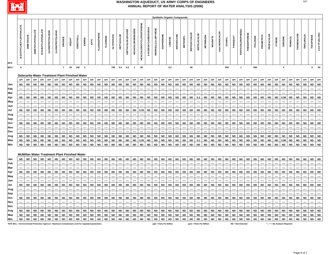

|                                                                                                 |                            |            |                          |                            |                    |                    |                |                                                      |           |                         |           |                     |                 |                   |                   |                    |                          |                                  |                     |                         |                         |           | <b>Synthetic Organic Compounds</b> |                 |                         |                    |                   |                 |                 |               |                     |                  |              |           |           |            |                               |                         |                 |                    |             |                  |                   |
|-------------------------------------------------------------------------------------------------|----------------------------|------------|--------------------------|----------------------------|--------------------|--------------------|----------------|------------------------------------------------------|-----------|-------------------------|-----------|---------------------|-----------------|-------------------|-------------------|--------------------|--------------------------|----------------------------------|---------------------|-------------------------|-------------------------|-----------|------------------------------------|-----------------|-------------------------|--------------------|-------------------|-----------------|-----------------|---------------|---------------------|------------------|--------------|-----------|-----------|------------|-------------------------------|-------------------------|-----------------|--------------------|-------------|------------------|-------------------|
| EPA                                                                                             | di-(2-ETHYLHEXYL)PHTHALATE | DIMETHOATE | <b>DIMETHYLPHTHALATE</b> | <b>DI-N-BUTYLPHTHALATE</b> | 2,6-DINITROTOLUENE | 2,4-DINITROTOLUENE | <b>DINOSEB</b> | <b>DIQUAT</b>                                        | ENDOTHALL | ENDRIN                  | ĒΕ        | <b>FLUORANTHENE</b> | <b>FLUORENE</b> | <b>GLYPHOSATE</b> | <b>HEPTACHLOR</b> | HEPTACHLOR EPOXIDE | <b>HEXACHLOROBENZENE</b> | <b>HEXACHLOROCYCLOPENTADIENE</b> | 3-HYDROXYCARBOFURAN | INDENO(1,2,3,c,d)PYRENE | <b>ISOPHORONE</b>       | LINDANE   | <b>METHIOCARB</b>                  | <b>METHOMYL</b> | <b>METHOXYCHLOR</b>     | <b>METOLACHLOR</b> | <b>METRIBUZIN</b> | <b>MOLINATE</b> | trans-NONACHLOR | <b>OXAMYL</b> | PARAQUAT            | PENTACHLOROPHENO | PHENANTHRENE | PICLORAM  | PROMETRYN | PROPACHLOR | PYRENI                        | SIMAZINE                | <b>TERBACIL</b> | <b>THIOBENCARB</b> | TRIFLURALIN | <b>TOXAPHENE</b> | 2,4,5-TP (SILVEX) |
| MCL*                                                                                            | 6                          |            |                          |                            |                    |                    | $\overline{7}$ | 20                                                   | 100       | $\overline{\mathbf{2}}$ |           |                     |                 | 700               | 0.4               | 0.2                | $\overline{1}$           | 50                               |                     |                         |                         | 0.2       |                                    |                 | 40                      |                    |                   |                 |                 | 200           |                     | $\overline{1}$   |              | 500       |           |            |                               | $\overline{\mathbf{4}}$ |                 |                    |             | $\mathbf{3}$     | 50                |
|                                                                                                 |                            |            |                          |                            |                    |                    |                |                                                      |           |                         |           |                     |                 |                   |                   |                    |                          |                                  |                     |                         |                         |           |                                    |                 |                         |                    |                   |                 |                 |               |                     |                  |              |           |           |            |                               |                         |                 |                    |             |                  |                   |
|                                                                                                 |                            |            |                          |                            |                    |                    |                | Dalecarlia Water Treatment Plant Finished Water      |           |                         |           |                     |                 |                   |                   |                    |                          |                                  |                     |                         |                         |           |                                    |                 |                         |                    |                   |                 |                 |               |                     |                  |              |           |           |            |                               |                         |                 |                    |             |                  |                   |
|                                                                                                 |                            | ppb        | ppb                      | ppb                        | ppb                | ppb                | ppb            | ppb                                                  | ppb       | ppb                     | ppb       | ppb                 | ppb             | ppb               | ppb               | ppb                | ppb                      | ppb                              | ppb                 | ppb                     | ppb                     | ppb       | ppb                                | ppb             | ppb                     | ppb                | ppb               | ppb             | ppb             | ppb           | ppb                 | ppb              | ppb          | ppb       | ppb       | ppb        | ppb                           | ppb                     | ppb             | ppb                | ppb         | ppb              | ppb               |
| Jan                                                                                             | <b>ND</b>                  | <b>ND</b>  | <b>ND</b>                | <b>ND</b>                  | <b>ND</b>          | <b>ND</b>          | ND             | <b>ND</b>                                            | <b>ND</b> | <b>ND</b>               | <b>ND</b> | <b>ND</b>           | <b>ND</b>       | <b>ND</b>         | <b>ND</b>         | <b>ND</b>          | <b>ND</b>                | <b>ND</b>                        | <b>ND</b>           | <b>ND</b>               | <b>ND</b>               | <b>ND</b> | <b>ND</b>                          | <b>ND</b>       | <b>ND</b>               | <b>ND</b>          | <b>ND</b>         | <b>ND</b>       | <b>ND</b>       | <b>ND</b>     | <b>ND</b>           | <b>ND</b>        | <b>ND</b>    | <b>ND</b> | <b>ND</b> | <b>ND</b>  | <b>ND</b>                     | <b>ND</b>               | <b>ND</b>       | <b>ND</b>          | <b>ND</b>   | <b>ND</b>        | <b>ND</b>         |
| Feb<br>Mar                                                                                      |                            |            |                          |                            |                    |                    |                |                                                      |           |                         |           |                     |                 |                   |                   |                    |                          |                                  |                     |                         |                         |           |                                    |                 |                         |                    |                   |                 |                 |               |                     |                  |              |           |           |            |                               |                         |                 |                    |             |                  |                   |
| Apr                                                                                             | <b>ND</b>                  | <b>ND</b>  | <b>ND</b>                | <b>ND</b>                  | <b>ND</b>          | <b>ND</b>          | <b>ND</b>      | <b>ND</b>                                            | <b>ND</b> | <b>ND</b>               | <b>ND</b> | <b>ND</b>           | <b>ND</b>       | <b>ND</b>         | <b>ND</b>         | <b>ND</b>          | <b>ND</b>                | <b>ND</b>                        | <b>ND</b>           | <b>ND</b>               | <b>ND</b>               | <b>ND</b> | <b>ND</b>                          | <b>ND</b>       | <b>ND</b>               | 0.2                | <b>ND</b>         | <b>ND</b>       | <b>ND</b>       | <b>ND</b>     | <b>ND</b>           | <b>ND</b>        | <b>ND</b>    | <b>ND</b> | <b>ND</b> | <b>ND</b>  | <b>ND</b>                     | 0.08                    | <b>ND</b>       | <b>ND</b>          | <b>ND</b>   | <b>ND</b>        | <b>ND</b>         |
| May                                                                                             |                            |            |                          |                            |                    |                    |                |                                                      |           |                         |           |                     |                 |                   |                   |                    |                          |                                  |                     |                         |                         |           |                                    |                 |                         |                    |                   |                 |                 |               |                     |                  |              |           |           |            |                               |                         |                 |                    |             |                  |                   |
| Jun                                                                                             |                            |            |                          |                            |                    |                    |                |                                                      |           |                         |           |                     |                 |                   |                   |                    |                          |                                  |                     |                         |                         |           |                                    |                 |                         |                    | ----              |                 |                 |               |                     |                  |              |           |           |            |                               |                         |                 |                    |             |                  |                   |
| Jul                                                                                             | <b>ND</b>                  | <b>ND</b>  | <b>ND</b>                | <b>ND</b>                  | <b>ND</b>          | <b>ND</b>          | <b>ND</b>      | <b>ND</b>                                            | <b>ND</b> | <b>ND</b>               | <b>ND</b> | <b>ND</b>           | <b>ND</b>       | <b>ND</b>         | <b>ND</b>         | <b>ND</b>          | <b>ND</b>                | 0.05                             | $\sf ND$            | <b>ND</b>               | <b>ND</b>               | <b>ND</b> | <b>ND</b>                          | <b>ND</b>       | <b>ND</b>               | <b>ND</b>          | <b>ND</b>         | <b>ND</b>       | <b>ND</b>       | <b>ND</b>     | <b>ND</b>           | <b>ND</b>        | <b>ND</b>    | <b>ND</b> | <b>ND</b> | <b>ND</b>  | <b>ND</b>                     | <b>ND</b>               | <b>ND</b>       | <b>ND</b>          | <b>ND</b>   | <b>ND</b>        | <b>ND</b>         |
| Aug                                                                                             |                            |            |                          |                            |                    |                    |                |                                                      |           |                         |           |                     |                 |                   |                   |                    |                          |                                  |                     |                         |                         |           |                                    |                 |                         |                    |                   |                 |                 |               |                     |                  |              |           |           |            |                               |                         |                 |                    |             |                  |                   |
| Sep                                                                                             |                            |            |                          |                            |                    |                    |                |                                                      |           |                         |           |                     |                 |                   |                   |                    |                          |                                  |                     |                         |                         |           |                                    |                 |                         |                    |                   |                 |                 |               |                     |                  |              |           |           |            |                               |                         |                 |                    |             |                  |                   |
| Oct                                                                                             | <b>ND</b>                  | <b>ND</b>  | <b>ND</b>                | <b>ND</b>                  | ND                 | <b>ND</b>          | ND             | <b>ND</b>                                            | <b>ND</b> | <b>ND</b>               | <b>ND</b> | <b>ND</b>           | <b>ND</b>       | <b>ND</b>         | <b>ND</b>         | <b>ND</b>          | <b>ND</b>                | <b>ND</b>                        | <b>ND</b>           | <b>ND</b>               | <b>ND</b>               | <b>ND</b> | <b>ND</b>                          | <b>ND</b>       | <b>ND</b>               | <b>ND</b>          | <b>ND</b>         | <b>ND</b>       | <b>ND</b>       | <b>ND</b>     | <b>ND</b>           | <b>ND</b>        | <b>ND</b>    | <b>ND</b> | <b>ND</b> | <b>ND</b>  | <b>ND</b>                     | <b>ND</b>               | <b>ND</b>       | <b>ND</b>          | <b>ND</b>   | <b>ND</b>        | <b>ND</b>         |
| Nov                                                                                             |                            |            |                          |                            |                    |                    |                |                                                      |           |                         |           |                     |                 |                   | ----              |                    |                          |                                  |                     |                         |                         |           |                                    |                 |                         |                    |                   |                 |                 |               |                     |                  |              |           |           |            |                               |                         |                 |                    |             |                  |                   |
| Dec                                                                                             |                            |            |                          |                            |                    |                    |                |                                                      |           |                         |           |                     |                 |                   |                   |                    |                          |                                  |                     |                         |                         |           |                                    |                 |                         |                    |                   |                 |                 |               |                     |                  |              |           |           |            |                               |                         |                 |                    |             |                  |                   |
| Avg                                                                                             | <b>ND</b>                  | <b>ND</b>  | <b>ND</b>                | <b>ND</b>                  | <b>ND</b>          | <b>ND</b>          | <b>ND</b>      | <b>ND</b>                                            | $\sf ND$  | <b>ND</b>               | <b>ND</b> | <b>ND</b>           | $\sf ND$        | ${\sf ND}$        | <b>ND</b>         | <b>ND</b>          | <b>ND</b>                | <b>ND</b>                        | $\sf ND$            | <b>ND</b>               | <b>ND</b>               | <b>ND</b> | <b>ND</b>                          | <b>ND</b>       | <b>ND</b>               | <b>ND</b>          | <b>ND</b>         | <b>ND</b>       | <b>ND</b>       | <b>ND</b>     | <b>ND</b>           | ${\sf ND}$       | <b>ND</b>    | <b>ND</b> | <b>ND</b> | <b>ND</b>  | <b>ND</b>                     | <b>ND</b>               | <b>ND</b>       | <b>ND</b>          | <b>ND</b>   | <b>ND</b>        | <b>ND</b>         |
| Max                                                                                             | <b>ND</b>                  | <b>ND</b>  | <b>ND</b>                | <b>ND</b>                  | ND                 | <b>ND</b>          | ND             | <b>ND</b>                                            | ND        | <b>ND</b>               | <b>ND</b> | <b>ND</b>           | <b>ND</b>       | <b>ND</b>         | <b>ND</b>         | <b>ND</b>          | <b>ND</b>                | 0.05                             | <b>ND</b>           | ${\sf ND}$              | <b>ND</b>               | <b>ND</b> | <b>ND</b>                          | <b>ND</b>       | <b>ND</b>               | 0.2                | <b>ND</b>         | <b>ND</b>       | <b>ND</b>       | <b>ND</b>     | <b>ND</b>           | <b>ND</b>        | <b>ND</b>    | <b>ND</b> | <b>ND</b> | <b>ND</b>  | <b>ND</b>                     | 0.08                    | <b>ND</b>       | <b>ND</b>          | <b>ND</b>   | <b>ND</b>        | <b>ND</b>         |
| Min                                                                                             | <b>ND</b>                  | <b>ND</b>  | <b>ND</b>                | <b>ND</b>                  | <b>ND</b>          | <b>ND</b>          | $\sf ND$       | <b>ND</b>                                            | <b>ND</b> | <b>ND</b>               | <b>ND</b> | <b>ND</b>           | $\sf ND$        | ${\sf ND}$        | <b>ND</b>         | ${\sf ND}$         | <b>ND</b>                | <b>ND</b>                        | <b>ND</b>           | <b>ND</b>               | <b>ND</b>               | <b>ND</b> | <b>ND</b>                          | ${\sf ND}$      | <b>ND</b>               | ${\sf ND}$         | $\sf ND$          | <b>ND</b>       | $\sf ND$        | <b>ND</b>     | <b>ND</b>           | <b>ND</b>        | $\sf ND$     | <b>ND</b> | <b>ND</b> | <b>ND</b>  | <b>ND</b>                     | <b>ND</b>               | <b>ND</b>       | <b>ND</b>          | <b>ND</b>   | ND               | <b>ND</b>         |
|                                                                                                 |                            |            |                          |                            |                    |                    |                | <b>McMillan Water Treatment Plant Finished Water</b> |           |                         |           |                     |                 |                   |                   |                    |                          |                                  |                     |                         |                         |           |                                    |                 |                         |                    |                   |                 |                 |               |                     |                  |              |           |           |            |                               |                         |                 |                    |             |                  |                   |
| Jan                                                                                             | <b>ND</b>                  | <b>ND</b>  | <b>ND</b>                | <b>ND</b>                  | <b>ND</b>          | <b>ND</b>          | <b>ND</b>      | <b>ND</b>                                            | <b>ND</b> | <b>ND</b>               | <b>ND</b> | <b>ND</b>           | <b>ND</b>       | <b>ND</b>         | <b>ND</b>         | <b>ND</b>          | <b>ND</b>                | <b>ND</b>                        | <b>ND</b>           | <b>ND</b>               | <b>ND</b>               | <b>ND</b> | <b>ND</b>                          | <b>ND</b>       | <b>ND</b>               | <b>ND</b>          | <b>ND</b>         | <b>ND</b>       | <b>ND</b>       | <b>ND</b>     | <b>ND</b>           | <b>ND</b>        | <b>ND</b>    | <b>ND</b> | <b>ND</b> | <b>ND</b>  | <b>ND</b>                     | <b>ND</b>               | <b>ND</b>       | <b>ND</b>          | <b>ND</b>   | <b>ND</b>        | <b>ND</b>         |
| Feb                                                                                             |                            |            |                          |                            |                    |                    |                |                                                      |           |                         |           |                     |                 |                   |                   |                    |                          |                                  |                     |                         |                         |           |                                    |                 |                         |                    |                   |                 |                 |               |                     |                  |              |           |           |            |                               |                         |                 |                    |             |                  |                   |
| Mar                                                                                             |                            |            |                          |                            |                    |                    |                |                                                      |           |                         |           |                     |                 |                   |                   |                    |                          |                                  |                     |                         |                         |           |                                    |                 |                         |                    |                   |                 |                 |               |                     |                  |              |           |           |            |                               |                         |                 |                    |             |                  |                   |
| Apr                                                                                             | <b>ND</b>                  | <b>ND</b>  | <b>ND</b>                | <b>ND</b>                  | <b>ND</b>          | <b>ND</b>          | <b>ND</b>      | <b>ND</b>                                            | <b>ND</b> | <b>ND</b>               | <b>ND</b> | <b>ND</b>           | <b>ND</b>       | <b>ND</b>         | <b>ND</b>         | <b>ND</b>          | <b>ND</b>                | <b>ND</b>                        | <b>ND</b>           | <b>ND</b>               | <b>ND</b>               | <b>ND</b> | <b>ND</b>                          | <b>ND</b>       | <b>ND</b>               | <b>ND</b>          | <b>ND</b>         | <b>ND</b>       | <b>ND</b>       | <b>ND</b>     | <b>ND</b>           | <b>ND</b>        | <b>ND</b>    | <b>ND</b> | <b>ND</b> | <b>ND</b>  | <b>ND</b>                     | <b>ND</b>               | <b>ND</b>       | <b>ND</b>          | <b>ND</b>   | <b>ND</b>        | <b>ND</b>         |
| May                                                                                             |                            |            |                          |                            |                    |                    |                |                                                      |           |                         |           |                     |                 |                   |                   |                    |                          |                                  |                     |                         |                         |           |                                    |                 |                         |                    |                   |                 |                 |               |                     |                  |              |           |           |            |                               |                         |                 |                    |             |                  |                   |
| Jun                                                                                             |                            |            |                          |                            |                    |                    |                |                                                      |           |                         |           |                     |                 |                   |                   |                    |                          |                                  |                     |                         |                         |           |                                    |                 |                         |                    |                   |                 |                 |               |                     |                  |              |           |           |            |                               |                         |                 |                    |             |                  |                   |
| Jul                                                                                             | <b>ND</b>                  | <b>ND</b>  | <b>ND</b>                | <b>ND</b>                  | ND                 | <b>ND</b>          | <b>ND</b>      | <b>ND</b>                                            | <b>ND</b> | <b>ND</b>               | <b>ND</b> | <b>ND</b>           | <b>ND</b>       | <b>ND</b>         | <b>ND</b>         | <b>ND</b>          | <b>ND</b>                | <b>ND</b>                        | <b>ND</b>           | <b>ND</b>               | <b>ND</b>               | <b>ND</b> | <b>ND</b>                          | <b>ND</b>       | <b>ND</b>               | <b>ND</b>          | <b>ND</b>         | <b>ND</b>       | <b>ND</b>       | <b>ND</b>     | <b>ND</b>           | <b>ND</b>        | <b>ND</b>    | <b>ND</b> | <b>ND</b> | <b>ND</b>  | <b>ND</b>                     | <b>ND</b>               | <b>ND</b>       | <b>ND</b>          | <b>ND</b>   | <b>ND</b>        | <b>ND</b>         |
| Aug                                                                                             |                            |            |                          |                            |                    |                    |                |                                                      |           |                         |           |                     |                 |                   |                   |                    |                          |                                  |                     |                         |                         |           |                                    |                 |                         |                    |                   |                 |                 |               |                     |                  |              |           |           |            |                               |                         |                 |                    |             |                  |                   |
| Sep                                                                                             |                            |            |                          |                            |                    |                    |                |                                                      |           |                         |           |                     |                 |                   |                   |                    |                          |                                  |                     |                         |                         |           |                                    |                 |                         |                    |                   |                 |                 |               |                     |                  |              |           |           |            |                               |                         |                 |                    |             |                  |                   |
| Oct                                                                                             | <b>ND</b>                  | <b>ND</b>  | <b>ND</b>                | <b>ND</b>                  | <b>ND</b>          | <b>ND</b>          | <b>ND</b>      | <b>ND</b>                                            | <b>ND</b> | <b>ND</b>               | <b>ND</b> | <b>ND</b>           | <b>ND</b>       | <b>ND</b>         | <b>ND</b>         | <b>ND</b>          | <b>ND</b>                | <b>ND</b>                        | <b>ND</b>           | <b>ND</b>               | <b>ND</b>               | <b>ND</b> | <b>ND</b>                          | <b>ND</b>       | <b>ND</b>               | <b>ND</b>          | <b>ND</b>         | <b>ND</b>       | <b>ND</b>       | <b>ND</b>     | <b>ND</b>           | <b>ND</b>        | <b>ND</b>    | <b>ND</b> | <b>ND</b> | <b>ND</b>  | <b>ND</b>                     | <b>ND</b>               | <b>ND</b>       | <b>ND</b>          | <b>ND</b>   | <b>ND</b>        | <b>ND</b>         |
| Nov                                                                                             |                            |            |                          |                            |                    |                    |                |                                                      |           |                         |           |                     |                 |                   |                   |                    |                          |                                  |                     |                         |                         |           |                                    |                 |                         |                    |                   |                 |                 |               |                     |                  |              |           |           |            |                               |                         |                 |                    |             |                  |                   |
| Dec                                                                                             |                            |            |                          |                            |                    |                    |                |                                                      |           |                         |           |                     |                 |                   |                   |                    |                          |                                  |                     |                         |                         |           |                                    |                 |                         |                    |                   |                 |                 |               |                     |                  |              |           |           |            |                               |                         |                 |                    |             |                  |                   |
| Avg                                                                                             | ND                         | <b>ND</b>  | <b>ND</b>                | <b>ND</b>                  | <b>ND</b>          | <b>ND</b>          | ND             | <b>ND</b>                                            | <b>ND</b> | <b>ND</b>               | <b>ND</b> | <b>ND</b>           | <b>ND</b>       | <b>ND</b>         | <b>ND</b>         | <b>ND</b>          | <b>ND</b>                | <b>ND</b>                        | <b>ND</b>           | <b>ND</b>               | <b>ND</b>               | <b>ND</b> | ND                                 | <b>ND</b>       | <b>ND</b>               | ND                 | <b>ND</b>         | <b>ND</b>       | <b>ND</b>       | <b>ND</b>     | <b>ND</b>           | <b>ND</b>        | <b>ND</b>    | <b>ND</b> | <b>ND</b> | <b>ND</b>  | <b>ND</b>                     | <b>ND</b>               | <b>ND</b>       | <b>ND</b>          | <b>ND</b>   | ND               | <b>ND</b>         |
| Max                                                                                             | <b>ND</b>                  | <b>ND</b>  | <b>ND</b>                | <b>ND</b>                  | <b>ND</b>          | <b>ND</b>          | <b>ND</b>      | <b>ND</b>                                            | <b>ND</b> | <b>ND</b>               | <b>ND</b> | <b>ND</b>           | <b>ND</b>       | <b>ND</b>         | <b>ND</b>         | <b>ND</b>          | <b>ND</b>                | <b>ND</b>                        | <b>ND</b>           | <b>ND</b>               | <b>ND</b>               | <b>ND</b> | <b>ND</b>                          | <b>ND</b>       | <b>ND</b>               | <b>ND</b>          | <b>ND</b>         | <b>ND</b>       | <b>ND</b>       | <b>ND</b>     | <b>ND</b>           | <b>ND</b>        | <b>ND</b>    | <b>ND</b> | <b>ND</b> | <b>ND</b>  | <b>ND</b>                     | <b>ND</b>               | <b>ND</b>       | <b>ND</b>          | <b>ND</b>   | <b>ND</b>        | <b>ND</b>         |
| Min                                                                                             | <b>ND</b>                  | <b>ND</b>  | <b>ND</b>                | <b>ND</b>                  | <b>ND</b>          | <b>ND</b>          | <b>ND</b>      | <b>ND</b>                                            | <b>ND</b> | <b>ND</b>               | <b>ND</b> | <b>ND</b>           | <b>ND</b>       | <b>ND</b>         | <b>ND</b>         | <b>ND</b>          | <b>ND</b>                | <b>ND</b>                        | <b>ND</b>           | <b>ND</b>               | <b>ND</b>               | <b>ND</b> | <b>ND</b>                          | <b>ND</b>       | <b>ND</b>               | <b>ND</b>          | <b>ND</b>         | <b>ND</b>       | <b>ND</b>       | <b>ND</b>     | <b>ND</b>           | <b>ND</b>        | <b>ND</b>    | <b>ND</b> | <b>ND</b> | <b>ND</b>  | <b>ND</b>                     | <b>ND</b>               | <b>ND</b>       | <b>ND</b>          | <b>ND</b>   | <b>ND</b>        | <b>ND</b>         |
| EPA MCL = Environmental Protection Agency's Maximum Contaminant Level for regulated parameters* |                            |            |                          |                            |                    |                    |                |                                                      |           |                         |           |                     |                 |                   |                   |                    |                          |                                  |                     |                         | ppb = Parts Per Billion |           |                                    |                 | ppm = Parts Per Million |                    |                   |                 |                 |               | $ND = Not$ Detected |                  |              |           |           |            | "----" = No Analysis Required |                         |                 |                    |             |                  |                   |